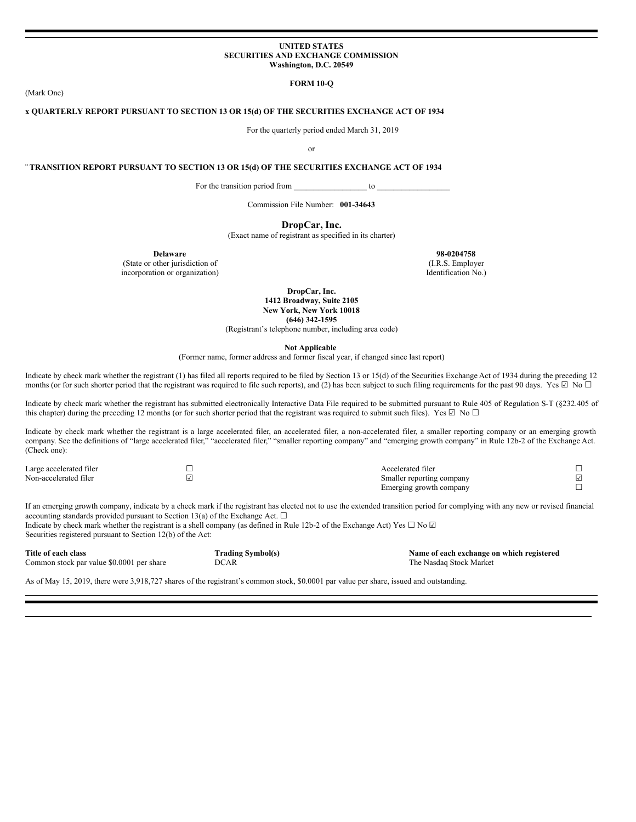#### **UNITED STATES SECURITIES AND EXCHANGE COMMISSION Washington, D.C. 20549**

**FORM 10-Q**

**x QUARTERLY REPORT PURSUANT TO SECTION 13 OR 15(d) OF THE SECURITIES EXCHANGE ACT OF 1934**

For the quarterly period ended March 31, 2019

or

**¨ TRANSITION REPORT PURSUANT TO SECTION 13 OR 15(d) OF THE SECURITIES EXCHANGE ACT OF 1934**

For the transition period from to  $\sim$ 

Commission File Number: **001-34643**

**DropCar, Inc.**

(Exact name of registrant as specified in its charter)

(State or other jurisdiction of (I.R.S. Employer (I.R.S. Employer incorporation or organization) incorporation or organization)

**Delaware 98-0204758**<br> **98-0204758**<br> **1.R.S. Employer** 

**DropCar, Inc. 1412 Broadway, Suite 2105 New York, New York 10018 (646) 342-1595**

(Registrant's telephone number, including area code)

**Not Applicable**

(Former name, former address and former fiscal year, if changed since last report)

Indicate by check mark whether the registrant (1) has filed all reports required to be filed by Section 13 or 15(d) of the Securities Exchange Act of 1934 during the preceding 12 months (or for such shorter period that the registrant was required to file such reports), and (2) has been subject to such filing requirements for the past 90 days. Yes  $\Box$  No  $\Box$ 

Indicate by check mark whether the registrant has submitted electronically Interactive Data File required to be submitted pursuant to Rule 405 of Regulation S-T (§232.405 of this chapter) during the preceding 12 months (or for such shorter period that the registrant was required to submit such files). Yes  $\boxtimes$  No  $\Box$ 

Indicate by check mark whether the registrant is a large accelerated filer, an accelerated filer, a non-accelerated filer, a smaller reporting company or an emerging growth company. See the definitions of "large accelerated filer," "accelerated filer," "smaller reporting company" and "emerging growth company" in Rule 12b-2 of the Exchange Act. (Check one):

| Large accelerated filer | Accelerated filer         |  |
|-------------------------|---------------------------|--|
| Non-accelerated filer   | Smaller reporting company |  |
|                         | Emerging growth company   |  |

If an emerging growth company, indicate by a check mark if the registrant has elected not to use the extended transition period for complying with any new or revised financial accounting standards provided pursuant to Section 13(a) of the Exchange Act.  $\Box$ Indicate by check mark whether the registrant is a shell company (as defined in Rule 12b-2 of the Exchange Act) Yes  $\Box$  No  $\Box$ 

Securities registered pursuant to Section 12(b) of the Act:

| Title of each class                       | <b>Trading Symbol(s)</b> | Name of each exchange on which registered |
|-------------------------------------------|--------------------------|-------------------------------------------|
| Common stock par value \$0,0001 per share | DCAR                     | The Nasdag Stock Market                   |

As of May 15, 2019, there were 3,918,727 shares of the registrant's common stock, \$0.0001 par value per share, issued and outstanding.

(Mark One)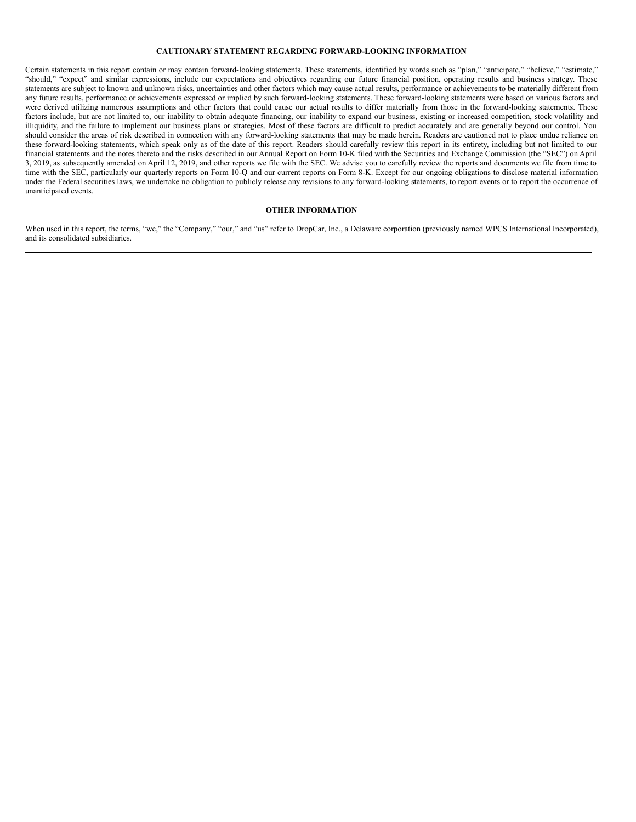## **CAUTIONARY STATEMENT REGARDING FORWARD-LOOKING INFORMATION**

Certain statements in this report contain or may contain forward-looking statements. These statements, identified by words such as "plan," "anticipate," "believe," "estimate," "should," "expect" and similar expressions, include our expectations and objectives regarding our future financial position, operating results and business strategy. These statements are subject to known and unknown risks, uncertainties and other factors which may cause actual results, performance or achievements to be materially different from any future results, performance or achievements expressed or implied by such forward-looking statements. These forward-looking statements were based on various factors and were derived utilizing numerous assumptions and other factors that could cause our actual results to differ materially from those in the forward-looking statements. These factors include, but are not limited to, our inability to obtain adequate financing, our inability to expand our business, existing or increased competition, stock volatility and illiquidity, and the failure to implement our business plans or strategies. Most of these factors are difficult to predict accurately and are generally beyond our control. You should consider the areas of risk described in connection with any forward-looking statements that may be made herein. Readers are cautioned not to place undue reliance on these forward-looking statements, which speak only as of the date of this report. Readers should carefully review this report in its entirety, including but not limited to our financial statements and the notes thereto and the risks described in our Annual Report on Form 10-K filed with the Securities and Exchange Commission (the "SEC") on April 3, 2019, as subsequently amended on April 12, 2019, and other reports we file with the SEC. We advise you to carefully review the reports and documents we file from time to time with the SEC, particularly our quarterly reports on Form 10-Q and our current reports on Form 8-K. Except for our ongoing obligations to disclose material information under the Federal securities laws, we undertake no obligation to publicly release any revisions to any forward-looking statements, to report events or to report the occurrence of unanticipated events.

## **OTHER INFORMATION**

When used in this report, the terms, "we," the "Company," "our," and "us" refer to DropCar, Inc., a Delaware corporation (previously named WPCS International Incorporated), and its consolidated subsidiaries.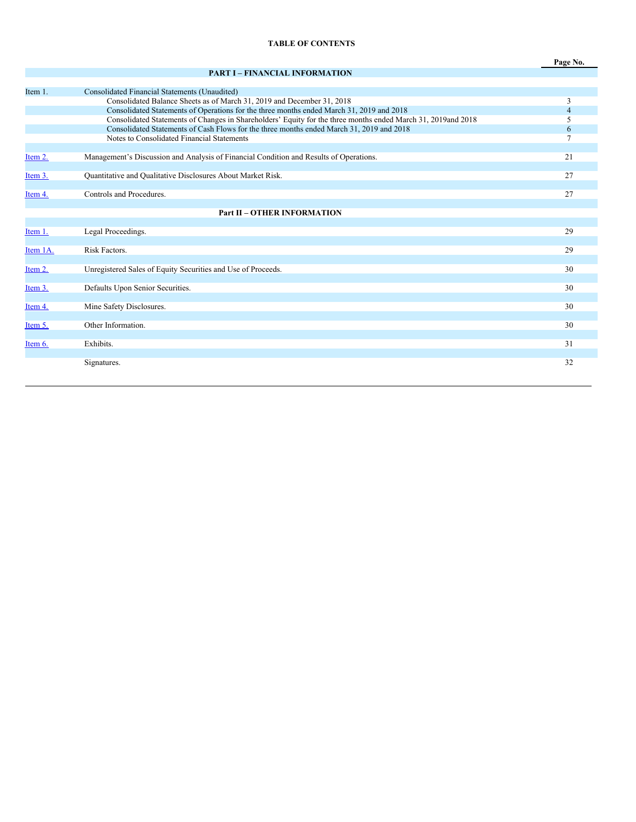## **TABLE OF CONTENTS**

**Page No.**

# **PART I – FINANCIAL INFORMATION**

| Item 1.  | Consolidated Financial Statements (Unaudited)                                                                |    |
|----------|--------------------------------------------------------------------------------------------------------------|----|
|          | Consolidated Balance Sheets as of March 31, 2019 and December 31, 2018                                       | 3  |
|          | Consolidated Statements of Operations for the three months ended March 31, 2019 and 2018                     | 4  |
|          | Consolidated Statements of Changes in Shareholders' Equity for the three months ended March 31, 2019and 2018 | 5  |
|          | Consolidated Statements of Cash Flows for the three months ended March 31, 2019 and 2018                     | 6  |
|          | Notes to Consolidated Financial Statements                                                                   |    |
| Item 2.  | Management's Discussion and Analysis of Financial Condition and Results of Operations.                       | 21 |
|          |                                                                                                              |    |
| Item 3.  | Quantitative and Qualitative Disclosures About Market Risk.                                                  | 27 |
|          |                                                                                                              |    |
| Item 4.  | Controls and Procedures.                                                                                     | 27 |
|          |                                                                                                              |    |
|          | <b>Part II - OTHER INFORMATION</b>                                                                           |    |
|          |                                                                                                              |    |
| Item 1.  | Legal Proceedings.                                                                                           | 29 |
| Item 1A. | Risk Factors.                                                                                                | 29 |
|          |                                                                                                              |    |
| Item 2.  | Unregistered Sales of Equity Securities and Use of Proceeds.                                                 | 30 |
|          |                                                                                                              |    |
| Item 3.  | Defaults Upon Senior Securities.                                                                             | 30 |
|          |                                                                                                              |    |
| Item 4.  | Mine Safety Disclosures.                                                                                     | 30 |
|          |                                                                                                              |    |
| Item 5.  | Other Information.                                                                                           | 30 |
| Item 6.  | Exhibits.                                                                                                    | 31 |
|          |                                                                                                              |    |
|          | Signatures.                                                                                                  | 32 |
|          |                                                                                                              |    |
|          |                                                                                                              |    |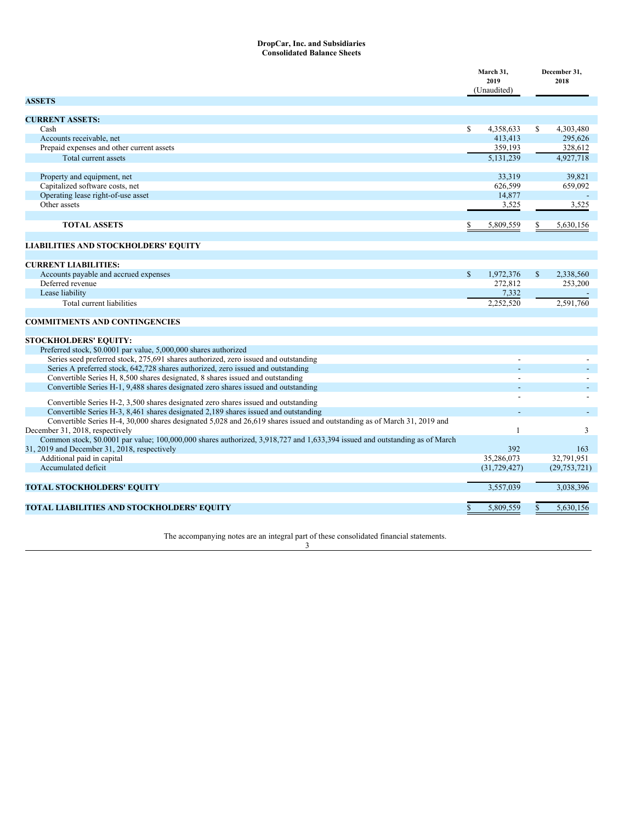#### **DropCar, Inc. and Subsidiaries Consolidated Balance Sheets**

|                                                                                                                                                                             | March 31,<br>2019<br>(Unaudited) |                | December 31,<br>2018 |                |
|-----------------------------------------------------------------------------------------------------------------------------------------------------------------------------|----------------------------------|----------------|----------------------|----------------|
| <b>ASSETS</b>                                                                                                                                                               |                                  |                |                      |                |
| <b>CURRENT ASSETS:</b>                                                                                                                                                      |                                  |                |                      |                |
| Cash                                                                                                                                                                        | S                                | 4,358,633      | S                    | 4,303,480      |
| Accounts receivable, net                                                                                                                                                    |                                  | 413,413        |                      | 295,626        |
| Prepaid expenses and other current assets                                                                                                                                   |                                  | 359,193        |                      | 328,612        |
| Total current assets                                                                                                                                                        |                                  | 5,131,239      |                      | 4,927,718      |
| Property and equipment, net                                                                                                                                                 |                                  | 33,319         |                      | 39.821         |
| Capitalized software costs, net                                                                                                                                             |                                  | 626,599        |                      | 659,092        |
| Operating lease right-of-use asset                                                                                                                                          |                                  | 14,877         |                      |                |
| Other assets                                                                                                                                                                |                                  | 3,525          |                      | 3,525          |
| <b>TOTAL ASSETS</b>                                                                                                                                                         |                                  | 5,809,559      |                      | 5,630,156      |
| LIABILITIES AND STOCKHOLDERS' EQUITY                                                                                                                                        |                                  |                |                      |                |
|                                                                                                                                                                             |                                  |                |                      |                |
| <b>CURRENT LIABILITIES:</b>                                                                                                                                                 |                                  |                |                      |                |
| Accounts payable and accrued expenses                                                                                                                                       | S                                | 1,972,376      | $\mathbf{s}$         | 2,338,560      |
| Deferred revenue                                                                                                                                                            |                                  | 272,812        |                      | 253,200        |
| Lease liability                                                                                                                                                             |                                  | 7,332          |                      |                |
| Total current liabilities                                                                                                                                                   |                                  | 2,252,520      |                      | 2,591,760      |
| <b>COMMITMENTS AND CONTINGENCIES</b>                                                                                                                                        |                                  |                |                      |                |
| STOCKHOLDERS' EQUITY:                                                                                                                                                       |                                  |                |                      |                |
| Preferred stock, \$0.0001 par value, 5,000,000 shares authorized                                                                                                            |                                  |                |                      |                |
| Series seed preferred stock, 275,691 shares authorized, zero issued and outstanding                                                                                         |                                  |                |                      |                |
| Series A preferred stock, 642,728 shares authorized, zero issued and outstanding                                                                                            |                                  |                |                      |                |
| Convertible Series H, 8,500 shares designated, 8 shares issued and outstanding                                                                                              |                                  |                |                      |                |
| Convertible Series H-1, 9,488 shares designated zero shares issued and outstanding                                                                                          |                                  |                |                      |                |
| Convertible Series H-2, 3,500 shares designated zero shares issued and outstanding                                                                                          |                                  |                |                      |                |
| Convertible Series H-3, 8,461 shares designated 2,189 shares issued and outstanding                                                                                         |                                  |                |                      |                |
| Convertible Series H-4, 30,000 shares designated 5,028 and 26,619 shares issued and outstanding as of March 31, 2019 and<br>December 31, 2018, respectively                 |                                  | $\overline{1}$ |                      | 3              |
| Common stock, \$0.0001 par value; 100,000,000 shares authorized, 3,918,727 and 1,633,394 issued and outstanding as of March<br>31, 2019 and December 31, 2018, respectively |                                  | 392            |                      | 163            |
| Additional paid in capital                                                                                                                                                  |                                  | 35,286,073     |                      | 32,791,951     |
| Accumulated deficit                                                                                                                                                         |                                  | (31, 729, 427) |                      | (29, 753, 721) |
| <b>TOTAL STOCKHOLDERS' EQUITY</b>                                                                                                                                           |                                  | 3,557,039      |                      | 3,038,396      |
|                                                                                                                                                                             |                                  |                |                      |                |
| TOTAL LIABILITIES AND STOCKHOLDERS' EQUITY                                                                                                                                  | S                                | 5.809.559      | S.                   | 5,630,156      |

The accompanying notes are an integral part of these consolidated financial statements.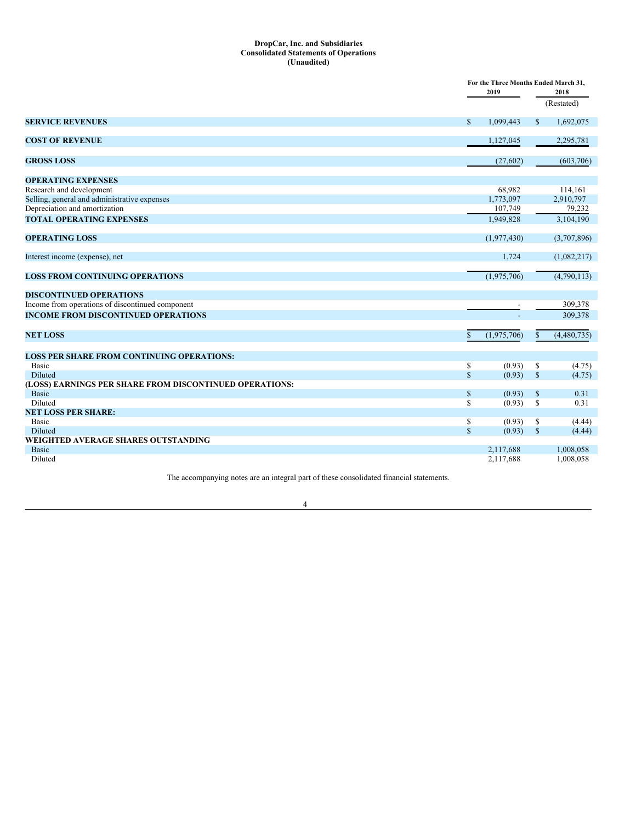#### **DropCar, Inc. and Subsidiaries Consolidated Statements of Operations (Unaudited)**

|                                                         |              | For the Three Months Ended March 31. |              |             |  |
|---------------------------------------------------------|--------------|--------------------------------------|--------------|-------------|--|
|                                                         |              | 2019                                 | 2018         |             |  |
|                                                         |              |                                      |              | (Restated)  |  |
| <b>SERVICE REVENUES</b>                                 | $\mathbb{S}$ | 1.099.443                            | $\mathbb{S}$ | 1,692,075   |  |
| <b>COST OF REVENUE</b>                                  |              | 1,127,045                            |              | 2,295,781   |  |
| <b>GROSS LOSS</b>                                       |              | (27,602)                             |              | (603,706)   |  |
| <b>OPERATING EXPENSES</b>                               |              |                                      |              |             |  |
| Research and development                                |              | 68,982                               |              | 114,161     |  |
| Selling, general and administrative expenses            |              | 1,773,097                            |              | 2,910,797   |  |
| Depreciation and amortization                           |              | 107,749                              |              | 79,232      |  |
| <b>TOTAL OPERATING EXPENSES</b>                         |              | 1.949.828                            |              | 3,104,190   |  |
| <b>OPERATING LOSS</b>                                   |              | (1,977,430)                          |              | (3,707,896) |  |
| Interest income (expense), net                          |              | 1,724                                |              | (1,082,217) |  |
| <b>LOSS FROM CONTINUING OPERATIONS</b>                  |              | (1,975,706)                          |              | (4,790,113) |  |
| <b>DISCONTINUED OPERATIONS</b>                          |              |                                      |              |             |  |
| Income from operations of discontinued component        |              |                                      |              | 309,378     |  |
| <b>INCOME FROM DISCONTINUED OPERATIONS</b>              |              |                                      |              | 309.378     |  |
| <b>NET LOSS</b>                                         | S.           | (1,975,706)                          | $\mathbb{S}$ | (4,480,735) |  |
| <b>LOSS PER SHARE FROM CONTINUING OPERATIONS:</b>       |              |                                      |              |             |  |
| <b>Basic</b>                                            | \$           | (0.93)                               | \$           | (4.75)      |  |
| <b>Diluted</b>                                          | $\mathbb{S}$ | (0.93)                               | $\mathbb{S}$ | (4.75)      |  |
| (LOSS) EARNINGS PER SHARE FROM DISCONTINUED OPERATIONS: |              |                                      |              |             |  |
| <b>Basic</b>                                            | \$           | (0.93)                               | $\mathbb{S}$ | 0.31        |  |
| Diluted                                                 | \$           | (0.93)                               | \$           | 0.31        |  |
| <b>NET LOSS PER SHARE:</b>                              |              |                                      |              |             |  |
| Basic                                                   | \$           | (0.93)                               | \$           | (4.44)      |  |
| Diluted                                                 | $\mathbb{S}$ | (0.93)                               | $\mathbb{S}$ | (4.44)      |  |
| WEIGHTED AVERAGE SHARES OUTSTANDING                     |              |                                      |              |             |  |
| <b>Basic</b>                                            |              | 2,117,688                            |              | 1,008,058   |  |
| Diluted                                                 |              | 2,117,688                            |              | 1,008,058   |  |

The accompanying notes are an integral part of these consolidated financial statements.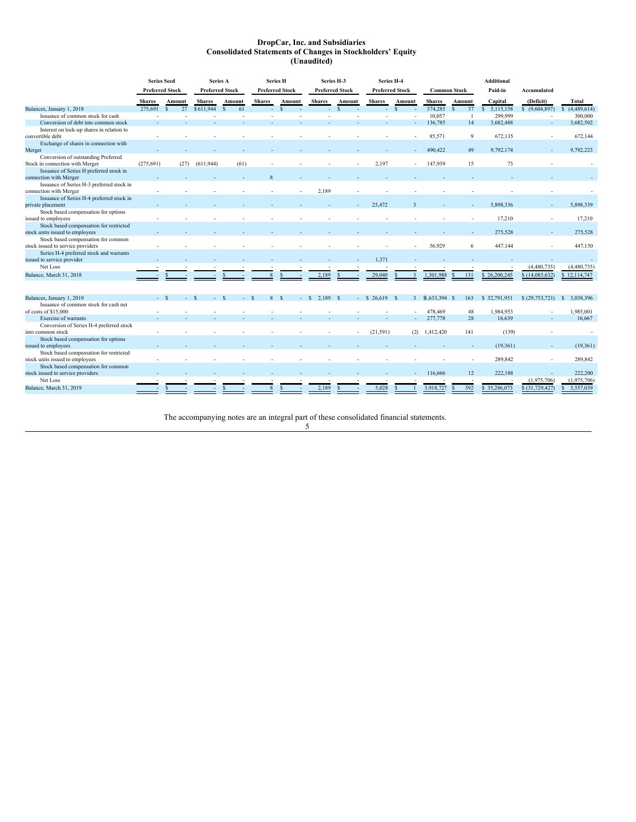### **DropCar, Inc. and Subsidiaries Consolidated Statements of Changes in Stockholders' Equity (Unaudited)**

|                                           | <b>Series Seed</b> |                        | Series A               |                     | <b>Series H</b>        |               | Series H-3             |        | Series H-4       |                        |                    |                     | <b>Additional</b> |                          |                 |
|-------------------------------------------|--------------------|------------------------|------------------------|---------------------|------------------------|---------------|------------------------|--------|------------------|------------------------|--------------------|---------------------|-------------------|--------------------------|-----------------|
|                                           |                    | <b>Preferred Stock</b> | <b>Preferred Stock</b> |                     | <b>Preferred Stock</b> |               | <b>Preferred Stock</b> |        |                  | <b>Preferred Stock</b> |                    | <b>Common Stock</b> | Paid-in           | <b>Accumulated</b>       |                 |
|                                           | <b>Shares</b>      | Amount                 | <b>Shares</b>          | Amount              | <b>Shares</b>          | Amount        | <b>Shares</b>          | Amount | <b>Shares</b>    | Amount                 | <b>Shares</b>      | Amount              | Capital           | (Deficit)                | Total           |
| Balances, January 1, 2018                 | 275.691            | 27<br>$\mathbf{S}$     | \$611,944              | 61<br>$\mathcal{S}$ | a.                     | $\mathcal{S}$ |                        | $-$ \$ | a.               | $\mathbf{s}$           | 374.285            | 37<br>S.            | 5,115,158<br>S.   | \$ (9,604,897)           | \$(4,489,614)   |
| Issuance of common stock for cash         |                    |                        |                        |                     |                        |               |                        |        |                  |                        | 10,057             | -1                  | 299,999           | $\overline{\phantom{a}}$ | 300,000         |
| Conversion of debt into common stock      |                    |                        |                        |                     |                        |               |                        |        |                  |                        | 136,785            | 14                  | 3,682,488         | ٠                        | 3,682,502       |
| Interest on lock-up shares in relation to |                    |                        |                        |                     |                        |               |                        |        |                  |                        |                    |                     |                   |                          |                 |
| convertible debt                          |                    |                        |                        |                     |                        |               |                        |        |                  |                        | 85.571             | 9                   | 672.135           |                          | 672.144         |
| Exchange of shares in connection with     |                    |                        |                        |                     |                        |               |                        |        |                  |                        |                    |                     |                   |                          |                 |
| Merger                                    |                    |                        |                        |                     |                        |               |                        |        |                  |                        | 490,422            | 49                  | 9,792,174         |                          | 9,792,223       |
| Conversion of outstanding Preferred       |                    |                        |                        |                     |                        |               |                        |        |                  |                        |                    |                     |                   |                          |                 |
| Stock in connection with Merger           | (275, 691)         | (27)                   | (611, 944)             | (61)                |                        |               |                        |        | 2,197            |                        | 147,939            | 15                  | 73                |                          |                 |
| Issuance of Series H preferred stock in   |                    |                        |                        |                     |                        |               |                        |        |                  |                        |                    |                     |                   |                          |                 |
| connection with Merger                    |                    |                        |                        |                     |                        |               |                        |        |                  |                        |                    |                     |                   |                          |                 |
| Issuance of Series H-3 preferred stock in |                    |                        |                        |                     |                        |               |                        |        |                  |                        |                    |                     |                   |                          |                 |
| connection with Merger                    |                    |                        |                        |                     |                        |               | 2.189                  |        |                  |                        |                    |                     |                   |                          |                 |
| Issuance of Series H-4 preferred stock in |                    |                        |                        |                     |                        |               |                        |        |                  |                        |                    |                     |                   |                          |                 |
| private placement                         |                    |                        |                        |                     |                        |               |                        |        | 25,472           |                        |                    |                     | 5,898,336         |                          | 5,898,339       |
| Stock based compensation for options      |                    |                        |                        |                     |                        |               |                        |        |                  |                        |                    |                     |                   |                          |                 |
| issued to employees                       |                    |                        |                        |                     |                        |               |                        |        |                  |                        |                    | $\sim$              | 17,210            |                          | 17,210          |
| Stock based compensation for restricted   |                    |                        |                        |                     |                        |               |                        |        |                  |                        |                    |                     |                   |                          |                 |
| stock units issued to employees           |                    |                        |                        |                     |                        |               |                        |        |                  |                        |                    |                     | 275,528           |                          | 275,528         |
| Stock based compensation for common       |                    |                        |                        |                     |                        |               |                        |        |                  |                        |                    |                     |                   |                          |                 |
| stock issued to service providers         |                    |                        |                        |                     |                        |               |                        |        |                  |                        | 56,929             | 6                   | 447,144           |                          | 447,150         |
| Series H-4 preferred stock and warrants   |                    |                        |                        |                     |                        |               |                        |        |                  |                        |                    |                     |                   |                          |                 |
| issued to service provider                |                    |                        |                        |                     |                        |               |                        |        | 1,371            |                        |                    |                     |                   |                          |                 |
| Net Loss                                  |                    |                        |                        |                     |                        |               |                        |        |                  |                        |                    |                     |                   | (4,480,735)              | (4,480,735)     |
| Balance, March 31, 2018                   |                    |                        |                        |                     |                        |               | 2,189                  |        | 29,040           |                        | 1,301,988          | 131                 | \$26,200,245      | \$(14,085,632)           | \$12,114,747    |
|                                           |                    |                        |                        |                     |                        |               |                        |        |                  |                        |                    |                     |                   |                          |                 |
| Balances, January 1, 2019                 |                    | $- S$<br>$-$ \$        | $-$ \$                 | - \$                | 8 \$                   |               | 2.189 S<br>$-$ S       |        | $-$ \$ 26.619 \$ |                        | $3$ \$1,633,394 \$ | 163                 | \$32,791,951      | \$(29,753,721)           | 3,038,396<br>-S |
| Issuance of common stock for cash net     |                    |                        |                        |                     |                        |               |                        |        |                  |                        |                    |                     |                   |                          |                 |
| of costs of \$15,000                      |                    |                        |                        |                     |                        |               |                        |        |                  |                        | 478,469            | 48                  | 1,984,953         |                          | 1,985,001       |
| Exercise of warrants                      |                    |                        |                        |                     |                        |               |                        |        |                  |                        | 277,778            | 28                  | 16,639            |                          | 16,667          |
| Conversion of Series H-4 preferred stock  |                    |                        |                        |                     |                        |               |                        |        |                  |                        |                    |                     |                   |                          |                 |
| into common stock                         |                    |                        |                        |                     |                        |               |                        |        | (21,591)         |                        | $(2)$ 1,412,420    | 141                 | (139)             |                          |                 |
| Stock based compensation for options      |                    |                        |                        |                     |                        |               |                        |        |                  |                        |                    |                     |                   |                          |                 |
| issued to employees                       |                    |                        |                        |                     |                        |               |                        |        |                  |                        |                    |                     | (19,361)          |                          | (19,361)        |
| Stock based compensation for restricted   |                    |                        |                        |                     |                        |               |                        |        |                  |                        |                    |                     |                   |                          |                 |
| stock units issued to employees           |                    |                        |                        |                     |                        |               |                        |        |                  |                        |                    |                     | 289.842           |                          | 289.842         |
| Stock based compensation for common       |                    |                        |                        |                     |                        |               |                        |        |                  |                        |                    |                     |                   |                          |                 |
| stock issued to service providers         |                    |                        |                        |                     |                        |               |                        |        |                  |                        | 116,666            | 12                  | 222,188           |                          | 222,200         |
| Net Loss                                  |                    |                        |                        |                     |                        |               |                        |        |                  |                        |                    |                     |                   | (1,975,706)              | (1,975,706)     |
| Balance, March 31, 2019                   |                    | $\mathbf{s}$           |                        |                     |                        |               | 2,189                  |        | 5,028            |                        | 3,918,727          | 392                 | \$35,286,073      | \$ (31,729,427)          | 3,557,039<br>S. |
|                                           |                    |                        |                        |                     |                        |               |                        |        |                  |                        |                    |                     |                   |                          |                 |

The accompanying notes are an integral part of these consolidated financial statements.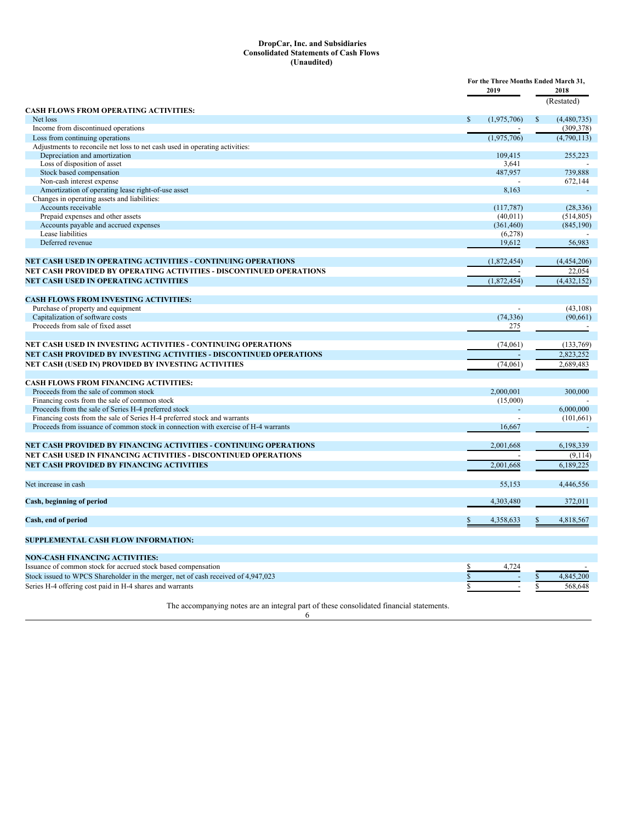### **DropCar, Inc. and Subsidiaries Consolidated Statements of Cash Flows (Unaudited)**

|                                                                                         | For the Three Months Ended March 31,<br>2019 |                  |              | 2018        |
|-----------------------------------------------------------------------------------------|----------------------------------------------|------------------|--------------|-------------|
|                                                                                         |                                              |                  |              | (Restated)  |
| CASH FLOWS FROM OPERATING ACTIVITIES:                                                   |                                              |                  |              |             |
| Net loss                                                                                | $\mathbb{S}$                                 | (1,975,706)      | $\mathbb{S}$ | (4,480,735) |
| Income from discontinued operations                                                     |                                              |                  |              | (309, 378)  |
| Loss from continuing operations                                                         |                                              | (1,975,706)      |              | (4,790,113) |
| Adjustments to reconcile net loss to net cash used in operating activities:             |                                              |                  |              |             |
| Depreciation and amortization<br>Loss of disposition of asset                           |                                              | 109,415<br>3.641 |              | 255,223     |
| Stock based compensation                                                                |                                              | 487,957          |              | 739,888     |
| Non-cash interest expense                                                               |                                              |                  |              | 672,144     |
| Amortization of operating lease right-of-use asset                                      |                                              | 8,163            |              |             |
| Changes in operating assets and liabilities:                                            |                                              |                  |              |             |
| Accounts receivable                                                                     |                                              | (117,787)        |              | (28, 336)   |
| Prepaid expenses and other assets                                                       |                                              | (40, 011)        |              | (514, 805)  |
| Accounts payable and accrued expenses                                                   |                                              | (361, 460)       |              | (845, 190)  |
| Lease liabilities                                                                       |                                              | (6,278)          |              |             |
| Deferred revenue                                                                        |                                              | 19,612           |              | 56,983      |
| <b>NET CASH USED IN OPERATING ACTIVITIES - CONTINUING OPERATIONS</b>                    |                                              | (1,872,454)      |              | (4,454,206) |
| NET CASH PROVIDED BY OPERATING ACTIVITIES - DISCONTINUED OPERATIONS                     |                                              |                  |              | 22,054      |
| <b>NET CASH USED IN OPERATING ACTIVITIES</b>                                            |                                              | (1,872,454)      |              | (4,432,152) |
|                                                                                         |                                              |                  |              |             |
| <b>CASH FLOWS FROM INVESTING ACTIVITIES:</b>                                            |                                              |                  |              |             |
| Purchase of property and equipment                                                      |                                              |                  |              | (43, 108)   |
| Capitalization of software costs                                                        |                                              | (74, 336)        |              | (90, 661)   |
| Proceeds from sale of fixed asset                                                       |                                              | 275              |              |             |
|                                                                                         |                                              |                  |              |             |
| NET CASH USED IN INVESTING ACTIVITIES - CONTINUING OPERATIONS                           |                                              | (74,061)         |              | (133,769)   |
| NET CASH PROVIDED BY INVESTING ACTIVITIES - DISCONTINUED OPERATIONS                     |                                              |                  |              | 2,823,252   |
| NET CASH (USED IN) PROVIDED BY INVESTING ACTIVITIES                                     |                                              | (74, 061)        |              | 2,689,483   |
|                                                                                         |                                              |                  |              |             |
| CASH FLOWS FROM FINANCING ACTIVITIES:                                                   |                                              |                  |              |             |
| Proceeds from the sale of common stock                                                  |                                              | 2.000.001        |              | 300,000     |
| Financing costs from the sale of common stock                                           |                                              | (15,000)         |              |             |
| Proceeds from the sale of Series H-4 preferred stock                                    |                                              |                  |              | 6,000,000   |
| Financing costs from the sale of Series H-4 preferred stock and warrants                |                                              |                  |              | (101, 661)  |
| Proceeds from issuance of common stock in connection with exercise of H-4 warrants      |                                              | 16,667           |              |             |
| <b>NET CASH PROVIDED BY FINANCING ACTIVITIES - CONTINUING OPERATIONS</b>                |                                              | 2,001,668        |              | 6,198,339   |
| NET CASH USED IN FINANCING ACTIVITIES - DISCONTINUED OPERATIONS                         |                                              |                  |              | (9,114)     |
| NET CASH PROVIDED BY FINANCING ACTIVITIES                                               |                                              | 2,001,668        |              | 6,189,225   |
|                                                                                         |                                              |                  |              |             |
| Net increase in cash                                                                    |                                              | 55.153           |              | 4,446,556   |
| Cash, beginning of period                                                               |                                              | 4,303,480        |              | 372,011     |
|                                                                                         |                                              |                  |              |             |
| Cash, end of period                                                                     | \$                                           | 4,358,633        | ፍ            | 4,818,567   |
| SUPPLEMENTAL CASH FLOW INFORMATION:                                                     |                                              |                  |              |             |
| <b>NON-CASH FINANCING ACTIVITIES:</b>                                                   |                                              |                  |              |             |
| Issuance of common stock for accrued stock based compensation                           | \$                                           | 4,724            |              |             |
| Stock issued to WPCS Shareholder in the merger, net of cash received of 4,947,023       | $\mathbf S$                                  |                  |              | 4,845,200   |
| Series H-4 offering cost paid in H-4 shares and warrants                                |                                              |                  |              | 568,648     |
|                                                                                         |                                              |                  |              |             |
| The accompanying notes are an integral part of these consolidated financial statements. |                                              |                  |              |             |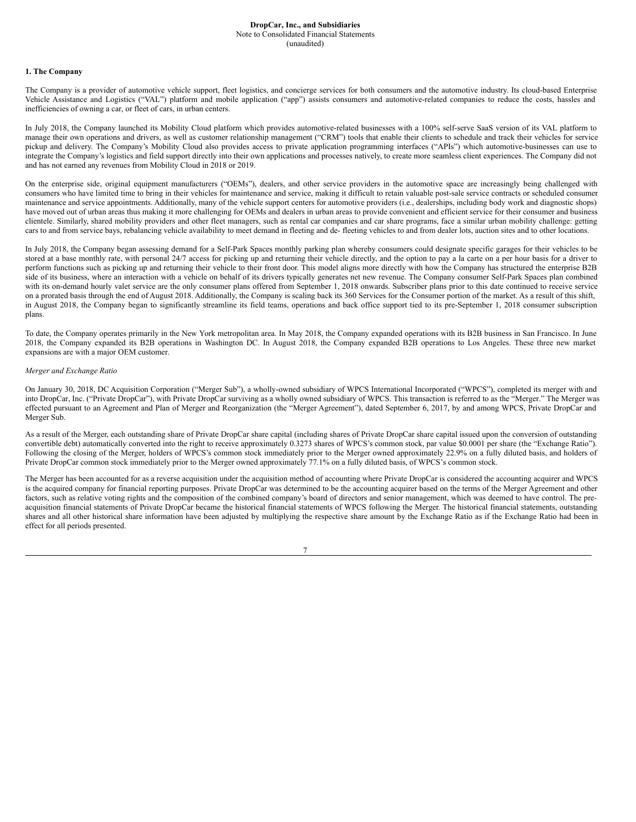#### **1. The Company**

The Company is a provider of automotive vehicle support, fleet logistics, and concierge services for both consumers and the automotive industry. Its cloud-based Enterprise Vehicle Assistance and Logistics ("VAL") platform and mobile application ("app") assists consumers and automotive-related companies to reduce the costs, hassles and inefficiencies of owning a car, or fleet of cars, in urban centers.

In July 2018, the Company launched its Mobility Cloud platform which provides automotive-related businesses with a 100% self-serve SaaS version of its VAL platform to manage their own operations and drivers, as well as customer relationship management ("CRM") tools that enable their clients to schedule and track their vehicles for service pickup and delivery. The Company's Mobility Cloud also provides access to private application programming interfaces ("APIs") which automotive-businesses can use to integrate the Company's logistics and field support directly into their own applications and processes natively, to create more seamless client experiences. The Company did not and has not earned any revenues from Mobility Cloud in 2018 or 2019.

On the enterprise side, original equipment manufacturers ("OEMs"), dealers, and other service providers in the automotive space are increasingly being challenged with consumers who have limited time to bring in their vehicles for maintenance and service, making it difficult to retain valuable post-sale service contracts or scheduled consumer maintenance and service appointments. Additionally, many of the vehicle support centers for automotive providers (i.e., dealerships, including body work and diagnostic shops) have moved out of urban areas thus making it more challenging for OEMs and dealers in urban areas to provide convenient and efficient service for their consumer and business clientele. Similarly, shared mobility providers and other fleet managers, such as rental car companies and car share programs, face a similar urban mobility challenge: getting cars to and from service bays, rebalancing vehicle availability to meet demand in fleeting and de- fleeting vehicles to and from dealer lots, auction sites and to other locations.

In July 2018, the Company began assessing demand for a Self-Park Spaces monthly parking plan whereby consumers could designate specific garages for their vehicles to be stored at a base monthly rate, with personal 24/7 access for picking up and returning their vehicle directly, and the option to pay a la carte on a per hour basis for a driver to perform functions such as picking up and returning their vehicle to their front door. This model aligns more directly with how the Company has structured the enterprise B2B side of its business, where an interaction with a vehicle on behalf of its drivers typically generates net new revenue. The Company consumer Self-Park Spaces plan combined with its on-demand hourly valet service are the only consumer plans offered from September 1, 2018 onwards. Subscriber plans prior to this date continued to receive service on a prorated basis through the end of August 2018. Additionally, the Company is scaling back its 360 Services for the Consumer portion of the market. As a result of this shift, in August 2018, the Company began to significantly streamline its field teams, operations and back office support tied to its pre-September 1, 2018 consumer subscription plans.

To date, the Company operates primarily in the New York metropolitan area. In May 2018, the Company expanded operations with its B2B business in San Francisco. In June 2018, the Company expanded its B2B operations in Washington DC. In August 2018, the Company expanded B2B operations to Los Angeles. These three new market expansions are with a major OEM customer.

#### *Merger and Exchange Ratio*

On January 30, 2018, DC Acquisition Corporation ("Merger Sub"), a wholly-owned subsidiary of WPCS International Incorporated ("WPCS"), completed its merger with and into DropCar, Inc. ("Private DropCar"), with Private DropCar surviving as a wholly owned subsidiary of WPCS. This transaction is referred to as the "Merger." The Merger was effected pursuant to an Agreement and Plan of Merger and Reorganization (the "Merger Agreement"), dated September 6, 2017, by and among WPCS, Private DropCar and Merger Sub.

As a result of the Merger, each outstanding share of Private DropCar share capital (including shares of Private DropCar share capital issued upon the conversion of outstanding convertible debt) automatically converted into the right to receive approximately 0.3273 shares of WPCS's common stock, par value \$0.0001 per share (the "Exchange Ratio"). Following the closing of the Merger, holders of WPCS's common stock immediately prior to the Merger owned approximately 22.9% on a fully diluted basis, and holders of Private DropCar common stock immediately prior to the Merger owned approximately 77.1% on a fully diluted basis, of WPCS's common stock.

The Merger has been accounted for as a reverse acquisition under the acquisition method of accounting where Private DropCar is considered the accounting acquirer and WPCS is the acquired company for financial reporting purposes. Private DropCar was determined to be the accounting acquirer based on the terms of the Merger Agreement and other factors, such as relative voting rights and the composition of the combined company's board of directors and senior management, which was deemed to have control. The preacquisition financial statements of Private DropCar became the historical financial statements of WPCS following the Merger. The historical financial statements, outstanding shares and all other historical share information have been adjusted by multiplying the respective share amount by the Exchange Ratio as if the Exchange Ratio had been in effect for all periods presented.

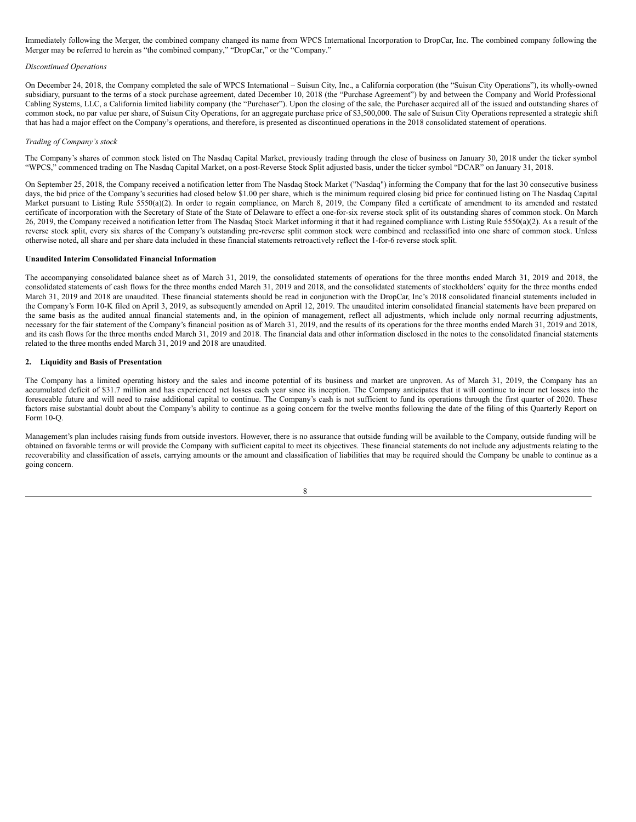Immediately following the Merger, the combined company changed its name from WPCS International Incorporation to DropCar, Inc. The combined company following the Merger may be referred to herein as "the combined company," "DropCar," or the "Company."

## *Discontinued Operations*

On December 24, 2018, the Company completed the sale of WPCS International – Suisun City, Inc., a California corporation (the "Suisun City Operations"), its wholly-owned subsidiary, pursuant to the terms of a stock purchase agreement, dated December 10, 2018 (the "Purchase Agreement") by and between the Company and World Professional Cabling Systems, LLC, a California limited liability company (the "Purchaser"). Upon the closing of the sale, the Purchaser acquired all of the issued and outstanding shares of common stock, no par value per share, of Suisun City Operations, for an aggregate purchase price of \$3,500,000. The sale of Suisun City Operations represented a strategic shift that has had a major effect on the Company's operations, and therefore, is presented as discontinued operations in the 2018 consolidated statement of operations.

#### *Trading of Company's stock*

The Company's shares of common stock listed on The Nasdaq Capital Market, previously trading through the close of business on January 30, 2018 under the ticker symbol "WPCS," commenced trading on The Nasdaq Capital Market, on a post-Reverse Stock Split adjusted basis, under the ticker symbol "DCAR" on January 31, 2018.

On September 25, 2018, the Company received a notification letter from The Nasdaq Stock Market ("Nasdaq") informing the Company that for the last 30 consecutive business days, the bid price of the Company's securities had closed below \$1.00 per share, which is the minimum required closing bid price for continued listing on The Nasdaq Capital Market pursuant to Listing Rule 5550(a)(2). In order to regain compliance, on March 8, 2019, the Company filed a certificate of amendment to its amended and restated certificate of incorporation with the Secretary of State of the State of Delaware to effect a one-for-six reverse stock split of its outstanding shares of common stock. On March 26, 2019, the Company received a notification letter from The Nasdaq Stock Market informing it that it had regained compliance with Listing Rule 5550(a)(2). As a result of the reverse stock split, every six shares of the Company's outstanding pre-reverse split common stock were combined and reclassified into one share of common stock. Unless otherwise noted, all share and per share data included in these financial statements retroactively reflect the 1-for-6 reverse stock split.

#### **Unaudited Interim Consolidated Financial Information**

The accompanying consolidated balance sheet as of March 31, 2019, the consolidated statements of operations for the three months ended March 31, 2019 and 2018, the consolidated statements of cash flows for the three months ended March 31, 2019 and 2018, and the consolidated statements of stockholders' equity for the three months ended March 31, 2019 and 2018 are unaudited. These financial statements should be read in conjunction with the DropCar, Inc's 2018 consolidated financial statements included in the Company's Form 10-K filed on April 3, 2019, as subsequently amended on April 12, 2019. The unaudited interim consolidated financial statements have been prepared on the same basis as the audited annual financial statements and, in the opinion of management, reflect all adjustments, which include only normal recurring adjustments, necessary for the fair statement of the Company's financial position as of March 31, 2019, and the results of its operations for the three months ended March 31, 2019 and 2018, and its cash flows for the three months ended March 31, 2019 and 2018. The financial data and other information disclosed in the notes to the consolidated financial statements related to the three months ended March 31, 2019 and 2018 are unaudited.

## **2. Liquidity and Basis of Presentation**

The Company has a limited operating history and the sales and income potential of its business and market are unproven. As of March 31, 2019, the Company has an accumulated deficit of \$31.7 million and has experienced net losses each year since its inception. The Company anticipates that it will continue to incur net losses into the foreseeable future and will need to raise additional capital to continue. The Company's cash is not sufficient to fund its operations through the first quarter of 2020. These factors raise substantial doubt about the Company's ability to continue as a going concern for the twelve months following the date of the filing of this Quarterly Report on Form 10-Q.

Management's plan includes raising funds from outside investors. However, there is no assurance that outside funding will be available to the Company, outside funding will be obtained on favorable terms or will provide the Company with sufficient capital to meet its objectives. These financial statements do not include any adjustments relating to the recoverability and classification of assets, carrying amounts or the amount and classification of liabilities that may be required should the Company be unable to continue as a going concern.

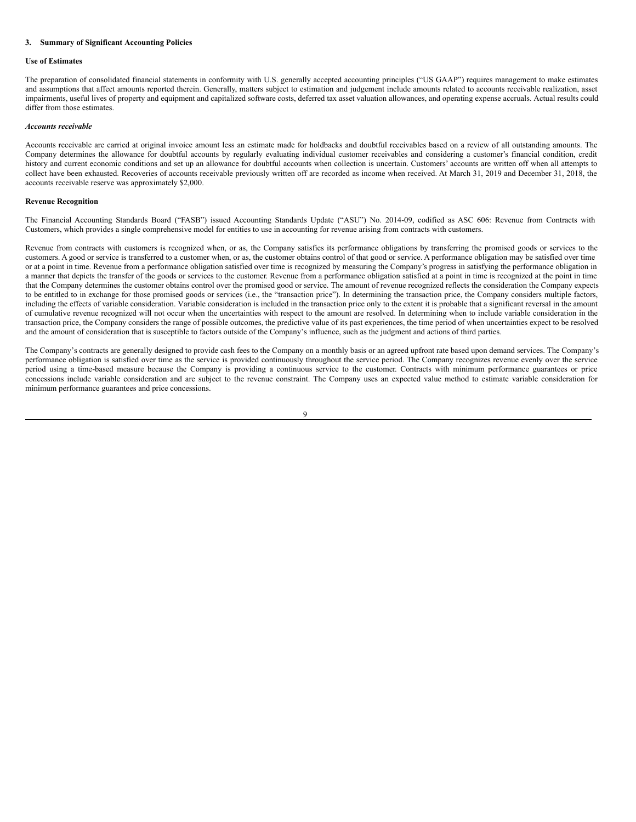## **3. Summary of Significant Accounting Policies**

### **Use of Estimates**

The preparation of consolidated financial statements in conformity with U.S. generally accepted accounting principles ("US GAAP") requires management to make estimates and assumptions that affect amounts reported therein. Generally, matters subject to estimation and judgement include amounts related to accounts receivable realization, asset impairments, useful lives of property and equipment and capitalized software costs, deferred tax asset valuation allowances, and operating expense accruals. Actual results could differ from those estimates.

### *Accounts receivable*

Accounts receivable are carried at original invoice amount less an estimate made for holdbacks and doubtful receivables based on a review of all outstanding amounts. The Company determines the allowance for doubtful accounts by regularly evaluating individual customer receivables and considering a customer's financial condition, credit history and current economic conditions and set up an allowance for doubtful accounts when collection is uncertain. Customers' accounts are written off when all attempts to collect have been exhausted. Recoveries of accounts receivable previously written off are recorded as income when received. At March 31, 2019 and December 31, 2018, the accounts receivable reserve was approximately \$2,000.

#### **Revenue Recognition**

The Financial Accounting Standards Board ("FASB") issued Accounting Standards Update ("ASU") No. 2014-09, codified as ASC 606: Revenue from Contracts with Customers, which provides a single comprehensive model for entities to use in accounting for revenue arising from contracts with customers.

Revenue from contracts with customers is recognized when, or as, the Company satisfies its performance obligations by transferring the promised goods or services to the customers. A good or service is transferred to a customer when, or as, the customer obtains control of that good or service. A performance obligation may be satisfied over time or at a point in time. Revenue from a performance obligation satisfied over time is recognized by measuring the Company's progress in satisfying the performance obligation in a manner that depicts the transfer of the goods or services to the customer. Revenue from a performance obligation satisfied at a point in time is recognized at the point in time that the Company determines the customer obtains control over the promised good or service. The amount of revenue recognized reflects the consideration the Company expects to be entitled to in exchange for those promised goods or services (i.e., the "transaction price"). In determining the transaction price, the Company considers multiple factors, including the effects of variable consideration. Variable consideration is included in the transaction price only to the extent it is probable that a significant reversal in the amount of cumulative revenue recognized will not occur when the uncertainties with respect to the amount are resolved. In determining when to include variable consideration in the transaction price, the Company considers the range of possible outcomes, the predictive value of its past experiences, the time period of when uncertainties expect to be resolved and the amount of consideration that is susceptible to factors outside of the Company's influence, such as the judgment and actions of third parties.

The Company's contracts are generally designed to provide cash fees to the Company on a monthly basis or an agreed upfront rate based upon demand services. The Company's performance obligation is satisfied over time as the service is provided continuously throughout the service period. The Company recognizes revenue evenly over the service period using a time-based measure because the Company is providing a continuous service to the customer. Contracts with minimum performance guarantees or price concessions include variable consideration and are subject to the revenue constraint. The Company uses an expected value method to estimate variable consideration for minimum performance guarantees and price concessions.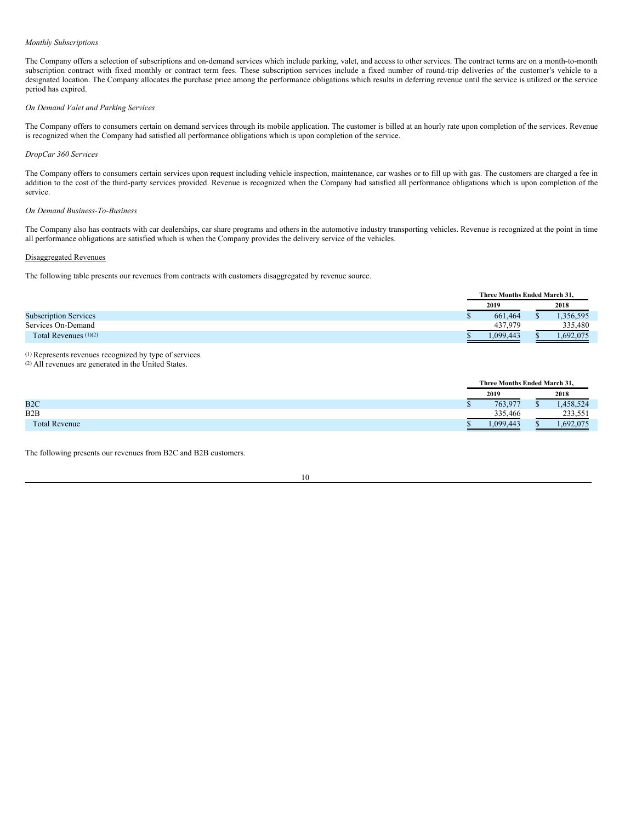#### *Monthly Subscriptions*

The Company offers a selection of subscriptions and on-demand services which include parking, valet, and access to other services. The contract terms are on a month-to-month subscription contract with fixed monthly or contract term fees. These subscription services include a fixed number of round-trip deliveries of the customer's vehicle to a designated location. The Company allocates the purchase price among the performance obligations which results in deferring revenue until the service is utilized or the service period has expired.

## *On Demand Valet and Parking Services*

The Company offers to consumers certain on demand services through its mobile application. The customer is billed at an hourly rate upon completion of the services. Revenue is recognized when the Company had satisfied all performance obligations which is upon completion of the service.

### *DropCar 360 Services*

The Company offers to consumers certain services upon request including vehicle inspection, maintenance, car washes or to fill up with gas. The customers are charged a fee in addition to the cost of the third-party services provided. Revenue is recognized when the Company had satisfied all performance obligations which is upon completion of the service.

### *On Demand Business-To-Business*

The Company also has contracts with car dealerships, car share programs and others in the automotive industry transporting vehicles. Revenue is recognized at the point in time all performance obligations are satisfied which is when the Company provides the delivery service of the vehicles.

## Disaggregated Revenues

The following table presents our revenues from contracts with customers disaggregated by revenue source.

|                              | Three Months Ended March 31. |  |          |  |  |  |
|------------------------------|------------------------------|--|----------|--|--|--|
|                              | 2018<br>2019                 |  |          |  |  |  |
| <b>Subscription Services</b> | 661.464                      |  | .356,595 |  |  |  |
| Services On-Demand           | 437.979                      |  | 335,480  |  |  |  |
| Total Revenues $(1)(2)$      | .099.443                     |  | .692.075 |  |  |  |

(1) Represents revenues recognized by type of services.

(2) All revenues are generated in the United States.

|                      |    | Three Months Ended March 31, |      |          |  |
|----------------------|----|------------------------------|------|----------|--|
|                      |    | 2019                         | 2018 |          |  |
| B2C                  | ۰υ | 763,977                      |      | ,458,524 |  |
| B2B                  |    | 335,466                      |      | 233.551  |  |
| <b>Total Revenue</b> |    | 1.099.443                    |      | .692.075 |  |

The following presents our revenues from B2C and B2B customers.

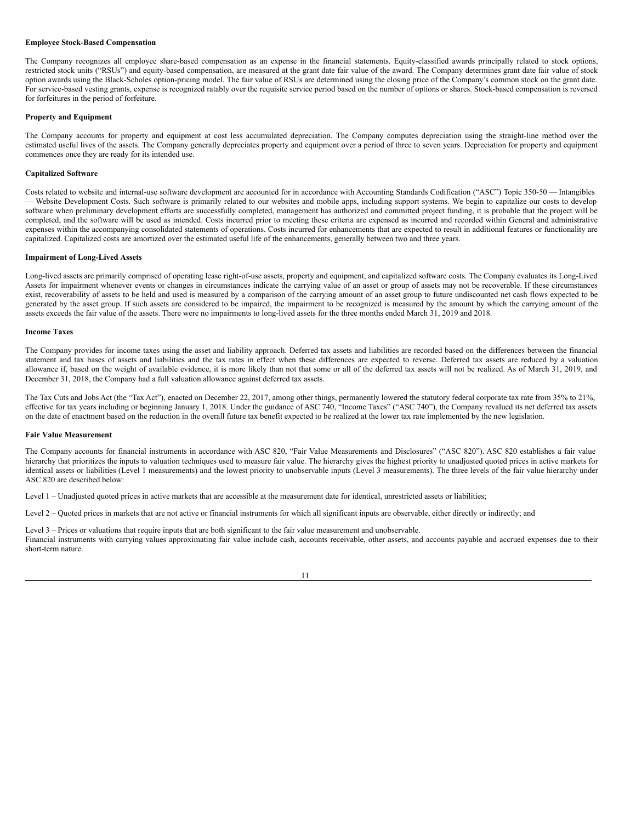### **Employee Stock-Based Compensation**

The Company recognizes all employee share-based compensation as an expense in the financial statements. Equity-classified awards principally related to stock options, restricted stock units ("RSUs") and equity-based compensation, are measured at the grant date fair value of the award. The Company determines grant date fair value of stock option awards using the Black-Scholes option-pricing model. The fair value of RSUs are determined using the closing price of the Company's common stock on the grant date. For service-based vesting grants, expense is recognized ratably over the requisite service period based on the number of options or shares. Stock-based compensation is reversed for forfeitures in the period of forfeiture.

#### **Property and Equipment**

The Company accounts for property and equipment at cost less accumulated depreciation. The Company computes depreciation using the straight-line method over the estimated useful lives of the assets. The Company generally depreciates property and equipment over a period of three to seven years. Depreciation for property and equipment commences once they are ready for its intended use.

### **Capitalized Software**

Costs related to website and internal-use software development are accounted for in accordance with Accounting Standards Codification ("ASC") Topic 350-50 — Intangibles — Website Development Costs. Such software is primarily related to our websites and mobile apps, including support systems. We begin to capitalize our costs to develop software when preliminary development efforts are successfully completed, management has authorized and committed project funding, it is probable that the project will be completed, and the software will be used as intended. Costs incurred prior to meeting these criteria are expensed as incurred and recorded within General and administrative expenses within the accompanying consolidated statements of operations. Costs incurred for enhancements that are expected to result in additional features or functionality are capitalized. Capitalized costs are amortized over the estimated useful life of the enhancements, generally between two and three years.

### **Impairment of Long-Lived Assets**

Long-lived assets are primarily comprised of operating lease right-of-use assets, property and equipment, and capitalized software costs. The Company evaluates its Long-Lived Assets for impairment whenever events or changes in circumstances indicate the carrying value of an asset or group of assets may not be recoverable. If these circumstances exist, recoverability of assets to be held and used is measured by a comparison of the carrying amount of an asset group to future undiscounted net cash flows expected to be generated by the asset group. If such assets are considered to be impaired, the impairment to be recognized is measured by the amount by which the carrying amount of the assets exceeds the fair value of the assets. There were no impairments to long-lived assets for the three months ended March 31, 2019 and 2018.

### **Income Taxes**

The Company provides for income taxes using the asset and liability approach. Deferred tax assets and liabilities are recorded based on the differences between the financial statement and tax bases of assets and liabilities and the tax rates in effect when these differences are expected to reverse. Deferred tax assets are reduced by a valuation allowance if, based on the weight of available evidence, it is more likely than not that some or all of the deferred tax assets will not be realized. As of March 31, 2019, and December 31, 2018, the Company had a full valuation allowance against deferred tax assets.

The Tax Cuts and Jobs Act (the "Tax Act"), enacted on December 22, 2017, among other things, permanently lowered the statutory federal corporate tax rate from 35% to 21%, effective for tax years including or beginning January 1, 2018. Under the guidance of ASC 740, "Income Taxes" ("ASC 740"), the Company revalued its net deferred tax assets on the date of enactment based on the reduction in the overall future tax benefit expected to be realized at the lower tax rate implemented by the new legislation.

#### **Fair Value Measurement**

The Company accounts for financial instruments in accordance with ASC 820, "Fair Value Measurements and Disclosures" ("ASC 820"). ASC 820 establishes a fair value hierarchy that prioritizes the inputs to valuation techniques used to measure fair value. The hierarchy gives the highest priority to unadjusted quoted prices in active markets for identical assets or liabilities (Level 1 measurements) and the lowest priority to unobservable inputs (Level 3 measurements). The three levels of the fair value hierarchy under ASC 820 are described below:

Level 1 – Unadjusted quoted prices in active markets that are accessible at the measurement date for identical, unrestricted assets or liabilities;

Level 2 – Quoted prices in markets that are not active or financial instruments for which all significant inputs are observable, either directly or indirectly; and

Level 3 – Prices or valuations that require inputs that are both significant to the fair value measurement and unobservable. Financial instruments with carrying values approximating fair value include cash, accounts receivable, other assets, and accounts payable and accrued expenses due to their short-term nature.

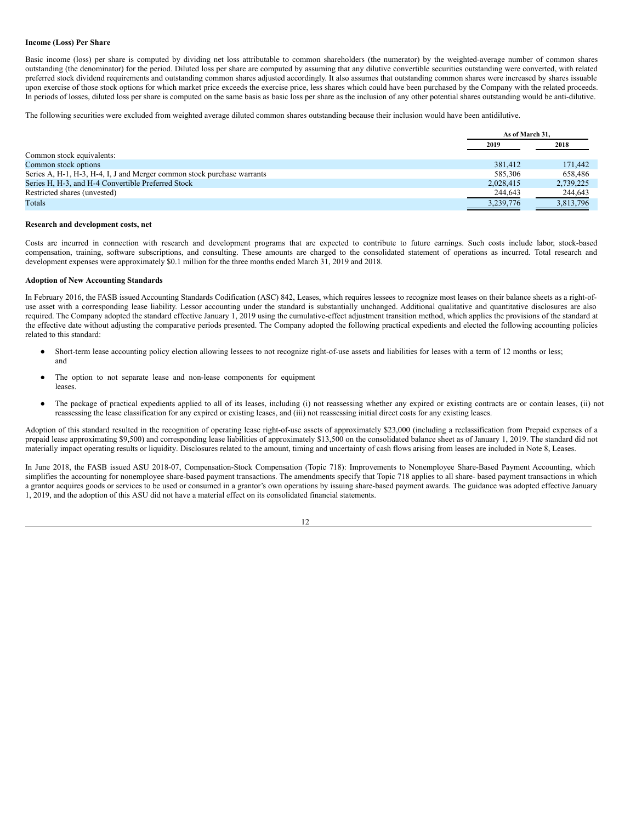#### **Income (Loss) Per Share**

Basic income (loss) per share is computed by dividing net loss attributable to common shareholders (the numerator) by the weighted-average number of common shares outstanding (the denominator) for the period. Diluted loss per share are computed by assuming that any dilutive convertible securities outstanding were converted, with related preferred stock dividend requirements and outstanding common shares adjusted accordingly. It also assumes that outstanding common shares were increased by shares issuable upon exercise of those stock options for which market price exceeds the exercise price, less shares which could have been purchased by the Company with the related proceeds. In periods of losses, diluted loss per share is computed on the same basis as basic loss per share as the inclusion of any other potential shares outstanding would be anti-dilutive.

The following securities were excluded from weighted average diluted common shares outstanding because their inclusion would have been antidilutive.

|                                                                         | As of March 31. |           |
|-------------------------------------------------------------------------|-----------------|-----------|
|                                                                         | 2019            | 2018      |
| Common stock equivalents:                                               |                 |           |
| Common stock options                                                    | 381,412         | 171.442   |
| Series A, H-1, H-3, H-4, I, J and Merger common stock purchase warrants | 585,306         | 658.486   |
| Series H, H-3, and H-4 Convertible Preferred Stock                      | 2,028,415       | 2,739,225 |
| Restricted shares (unvested)                                            | 244,643         | 244,643   |
| Totals                                                                  | 3,239,776       | 3,813,796 |

#### **Research and development costs, net**

Costs are incurred in connection with research and development programs that are expected to contribute to future earnings. Such costs include labor, stock-based compensation, training, software subscriptions, and consulting. These amounts are charged to the consolidated statement of operations as incurred. Total research and development expenses were approximately \$0.1 million for the three months ended March 31, 2019 and 2018.

### **Adoption of New Accounting Standards**

In February 2016, the FASB issued Accounting Standards Codification (ASC) 842, Leases, which requires lessees to recognize most leases on their balance sheets as a right-ofuse asset with a corresponding lease liability. Lessor accounting under the standard is substantially unchanged. Additional qualitative and quantitative disclosures are also required. The Company adopted the standard effective January 1, 2019 using the cumulative-effect adjustment transition method, which applies the provisions of the standard at the effective date without adjusting the comparative periods presented. The Company adopted the following practical expedients and elected the following accounting policies related to this standard:

- Short-term lease accounting policy election allowing lessees to not recognize right-of-use assets and liabilities for leases with a term of 12 months or less; and
- The option to not separate lease and non-lease components for equipment leases.
- The package of practical expedients applied to all of its leases, including (i) not reassessing whether any expired or existing contracts are or contain leases, (ii) not reassessing the lease classification for any expired or existing leases, and (iii) not reassessing initial direct costs for any existing leases.

Adoption of this standard resulted in the recognition of operating lease right-of-use assets of approximately \$23,000 (including a reclassification from Prepaid expenses of a prepaid lease approximating \$9,500) and corresponding lease liabilities of approximately \$13,500 on the consolidated balance sheet as of January 1, 2019. The standard did not materially impact operating results or liquidity. Disclosures related to the amount, timing and uncertainty of cash flows arising from leases are included in Note 8, Leases.

In June 2018, the FASB issued ASU 2018-07, Compensation-Stock Compensation (Topic 718): Improvements to Nonemployee Share-Based Payment Accounting, which simplifies the accounting for nonemployee share-based payment transactions. The amendments specify that Topic 718 applies to all share- based payment transactions in which a grantor acquires goods or services to be used or consumed in a grantor's own operations by issuing share-based payment awards. The guidance was adopted effective January 1, 2019, and the adoption of this ASU did not have a material effect on its consolidated financial statements.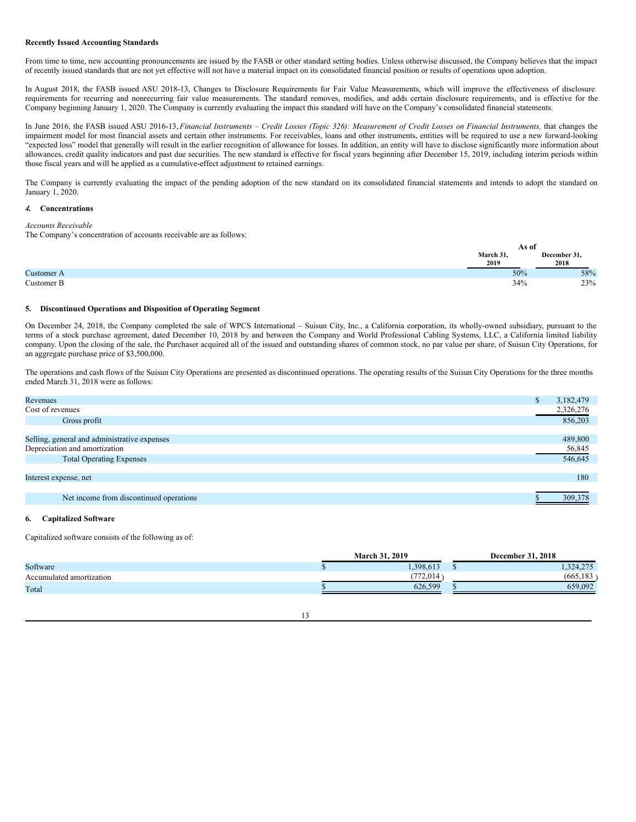#### **Recently Issued Accounting Standards**

From time to time, new accounting pronouncements are issued by the FASB or other standard setting bodies. Unless otherwise discussed, the Company believes that the impact of recently issued standards that are not yet effective will not have a material impact on its consolidated financial position or results of operations upon adoption.

In August 2018, the FASB issued ASU 2018-13, Changes to Disclosure Requirements for Fair Value Measurements, which will improve the effectiveness of disclosure requirements for recurring and nonrecurring fair value measurements. The standard removes, modifies, and adds certain disclosure requirements, and is effective for the Company beginning January 1, 2020. The Company is currently evaluating the impact this standard will have on the Company's consolidated financial statements.

In June 2016, the FASB issued ASU 2016-13, Financial Instruments - Credit Losses (Topic 326): Measurement of Credit Losses on Financial Instruments, that changes the impairment model for most financial assets and certain other instruments. For receivables, loans and other instruments, entities will be required to use a new forward-looking "expected loss" model that generally will result in the earlier recognition of allowance for losses. In addition, an entity will have to disclose significantly more information about allowances, credit quality indicators and past due securities. The new standard is effective for fiscal years beginning after December 15, 2019, including interim periods within those fiscal years and will be applied as a cumulative-effect adjustment to retained earnings.

The Company is currently evaluating the impact of the pending adoption of the new standard on its consolidated financial statements and intends to adopt the standard on January 1, 2020.

## *4.* **Concentrations**

#### *Accounts Receivable*

The Company's concentration of accounts receivable are as follows:

|            | As ot            |                      |
|------------|------------------|----------------------|
|            | March 31<br>2019 | December 31,<br>2018 |
| Customer A | 50%              | 58%                  |
| Customer B | 34%              | 23%                  |

### **5. Discontinued Operations and Disposition of Operating Segment**

On December 24, 2018, the Company completed the sale of WPCS International – Suisun City, Inc., a California corporation, its wholly-owned subsidiary, pursuant to the terms of a stock purchase agreement, dated December 10, 2018 by and between the Company and World Professional Cabling Systems, LLC, a California limited liability company. Upon the closing of the sale, the Purchaser acquired all of the issued and outstanding shares of common stock, no par value per share, of Suisun City Operations, for an aggregate purchase price of \$3,500,000.

The operations and cash flows of the Suisun City Operations are presented as discontinued operations. The operating results of the Suisun City Operations for the three months ended March 31, 2018 were as follows:

| Revenues                                     | Ф | 3,182,479 |
|----------------------------------------------|---|-----------|
| Cost of revenues                             |   | 2,326,276 |
| Gross profit                                 |   | 856,203   |
|                                              |   |           |
| Selling, general and administrative expenses |   | 489,800   |
| Depreciation and amortization                |   | 56,845    |
| <b>Total Operating Expenses</b>              |   | 546,645   |
|                                              |   |           |
| Interest expense, net                        |   | 180       |
|                                              |   |           |
| Net income from discontinued operations      |   | 309.378   |
|                                              |   |           |

## **6. Capitalized Software**

Capitalized software consists of the following as of:

|                          | March 31.<br>2019 | <b>December 31, 2018</b> |
|--------------------------|-------------------|--------------------------|
| Software                 | .398.613          | ,324,275<br>w            |
| Accumulated amortization | 772,014           | (665, 183)               |
| Total                    | 626,599           | 659,092                  |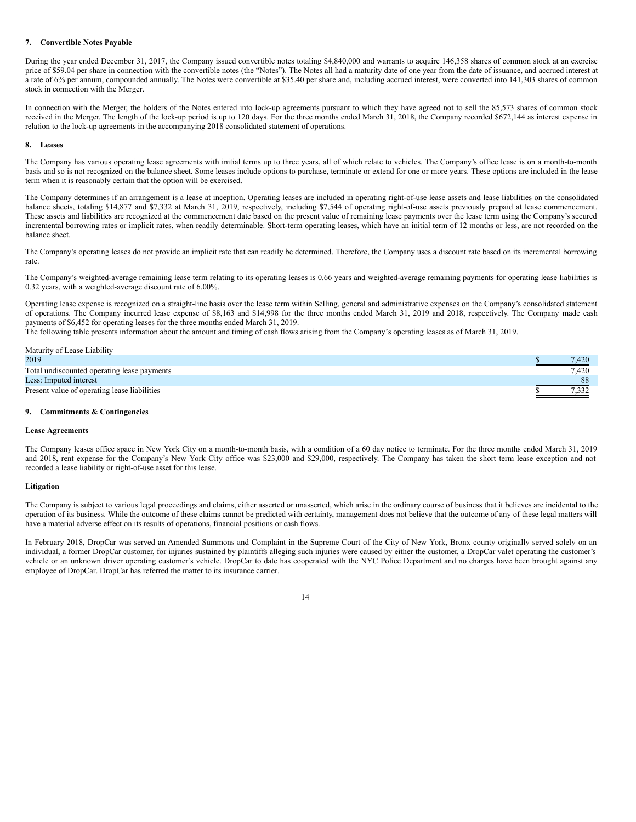## **7. Convertible Notes Payable**

During the year ended December 31, 2017, the Company issued convertible notes totaling \$4,840,000 and warrants to acquire 146,358 shares of common stock at an exercise price of \$59.04 per share in connection with the convertible notes (the "Notes"). The Notes all had a maturity date of one year from the date of issuance, and accrued interest at a rate of 6% per annum, compounded annually. The Notes were convertible at \$35.40 per share and, including accrued interest, were converted into 141,303 shares of common stock in connection with the Merger.

In connection with the Merger, the holders of the Notes entered into lock-up agreements pursuant to which they have agreed not to sell the 85,573 shares of common stock received in the Merger. The length of the lock-up period is up to 120 days. For the three months ended March 31, 2018, the Company recorded \$672,144 as interest expense in relation to the lock-up agreements in the accompanying 2018 consolidated statement of operations.

### **8. Leases**

The Company has various operating lease agreements with initial terms up to three years, all of which relate to vehicles. The Company's office lease is on a month-to-month basis and so is not recognized on the balance sheet. Some leases include options to purchase, terminate or extend for one or more years. These options are included in the lease term when it is reasonably certain that the option will be exercised.

The Company determines if an arrangement is a lease at inception. Operating leases are included in operating right-of-use lease assets and lease liabilities on the consolidated balance sheets, totaling \$14,877 and \$7,332 at March 31, 2019, respectively, including \$7,544 of operating right-of-use assets previously prepaid at lease commencement. These assets and liabilities are recognized at the commencement date based on the present value of remaining lease payments over the lease term using the Company's secured incremental borrowing rates or implicit rates, when readily determinable. Short-term operating leases, which have an initial term of 12 months or less, are not recorded on the balance sheet.

The Company's operating leases do not provide an implicit rate that can readily be determined. Therefore, the Company uses a discount rate based on its incremental borrowing rate.

The Company's weighted-average remaining lease term relating to its operating leases is 0.66 years and weighted-average remaining payments for operating lease liabilities is 0.32 years, with a weighted-average discount rate of 6.00%.

Operating lease expense is recognized on a straight-line basis over the lease term within Selling, general and administrative expenses on the Company's consolidated statement of operations. The Company incurred lease expense of \$8,163 and \$14,998 for the three months ended March 31, 2019 and 2018, respectively. The Company made cash payments of \$6,452 for operating leases for the three months ended March 31, 2019.

The following table presents information about the amount and timing of cash flows arising from the Company's operating leases as of March 31, 2019.

| Maturity of Lease Liability                  |       |
|----------------------------------------------|-------|
| 2019                                         | 7.420 |
| Total undiscounted operating lease payments  | 7.420 |
| Less: Imputed interest                       | 88    |
| Present value of operating lease liabilities |       |

### **9. Commitments & Contingencies**

#### **Lease Agreements**

The Company leases office space in New York City on a month-to-month basis, with a condition of a 60 day notice to terminate. For the three months ended March 31, 2019 and 2018, rent expense for the Company's New York City office was \$23,000 and \$29,000, respectively. The Company has taken the short term lease exception and not recorded a lease liability or right-of-use asset for this lease.

#### **Litigation**

The Company is subject to various legal proceedings and claims, either asserted or unasserted, which arise in the ordinary course of business that it believes are incidental to the operation of its business. While the outcome of these claims cannot be predicted with certainty, management does not believe that the outcome of any of these legal matters will have a material adverse effect on its results of operations, financial positions or cash flows.

In February 2018, DropCar was served an Amended Summons and Complaint in the Supreme Court of the City of New York, Bronx county originally served solely on an individual, a former DropCar customer, for injuries sustained by plaintiffs alleging such injuries were caused by either the customer, a DropCar valet operating the customer's vehicle or an unknown driver operating customer's vehicle. DropCar to date has cooperated with the NYC Police Department and no charges have been brought against any employee of DropCar. DropCar has referred the matter to its insurance carrier.

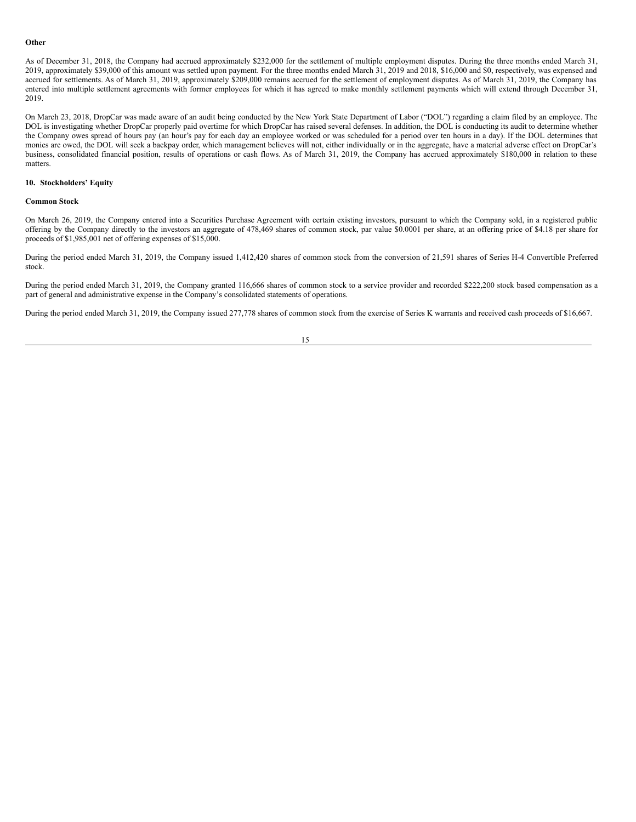#### **Other**

As of December 31, 2018, the Company had accrued approximately \$232,000 for the settlement of multiple employment disputes. During the three months ended March 31, 2019, approximately \$39,000 of this amount was settled upon payment. For the three months ended March 31, 2019 and 2018, \$16,000 and \$0, respectively, was expensed and accrued for settlements. As of March 31, 2019, approximately \$209,000 remains accrued for the settlement of employment disputes. As of March 31, 2019, the Company has entered into multiple settlement agreements with former employees for which it has agreed to make monthly settlement payments which will extend through December 31, 2019.

On March 23, 2018, DropCar was made aware of an audit being conducted by the New York State Department of Labor ("DOL") regarding a claim filed by an employee. The DOL is investigating whether DropCar properly paid overtime for which DropCar has raised several defenses. In addition, the DOL is conducting its audit to determine whether the Company owes spread of hours pay (an hour's pay for each day an employee worked or was scheduled for a period over ten hours in a day). If the DOL determines that monies are owed, the DOL will seek a backpay order, which management believes will not, either individually or in the aggregate, have a material adverse effect on DropCar's business, consolidated financial position, results of operations or cash flows. As of March 31, 2019, the Company has accrued approximately \$180,000 in relation to these matters.

## **10. Stockholders' Equity**

#### **Common Stock**

On March 26, 2019, the Company entered into a Securities Purchase Agreement with certain existing investors, pursuant to which the Company sold, in a registered public offering by the Company directly to the investors an aggregate of 478,469 shares of common stock, par value \$0.0001 per share, at an offering price of \$4.18 per share for proceeds of \$1,985,001 net of offering expenses of \$15,000.

During the period ended March 31, 2019, the Company issued 1,412,420 shares of common stock from the conversion of 21,591 shares of Series H-4 Convertible Preferred stock.

During the period ended March 31, 2019, the Company granted 116,666 shares of common stock to a service provider and recorded \$222,200 stock based compensation as a part of general and administrative expense in the Company's consolidated statements of operations.

During the period ended March 31, 2019, the Company issued 277,778 shares of common stock from the exercise of Series K warrants and received cash proceeds of \$16,667.

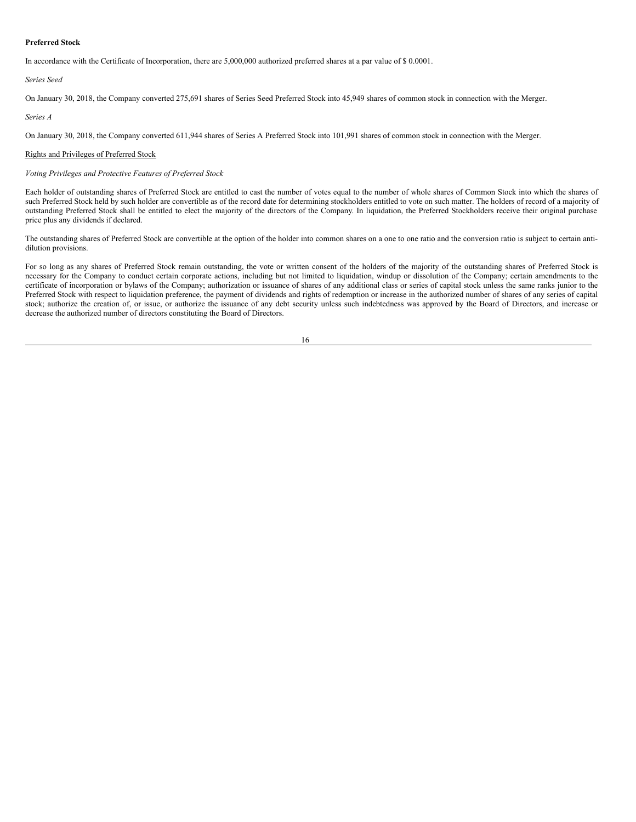### **Preferred Stock**

In accordance with the Certificate of Incorporation, there are 5,000,000 authorized preferred shares at a par value of \$ 0.0001.

### *Series Seed*

On January 30, 2018, the Company converted 275,691 shares of Series Seed Preferred Stock into 45,949 shares of common stock in connection with the Merger.

## *Series A*

On January 30, 2018, the Company converted 611,944 shares of Series A Preferred Stock into 101,991 shares of common stock in connection with the Merger.

## Rights and Privileges of Preferred Stock

## *Voting Privileges and Protective Features of Preferred Stock*

Each holder of outstanding shares of Preferred Stock are entitled to cast the number of votes equal to the number of whole shares of Common Stock into which the shares of such Preferred Stock held by such holder are convertible as of the record date for determining stockholders entitled to vote on such matter. The holders of record of a majority of outstanding Preferred Stock shall be entitled to elect the majority of the directors of the Company. In liquidation, the Preferred Stockholders receive their original purchase price plus any dividends if declared.

The outstanding shares of Preferred Stock are convertible at the option of the holder into common shares on a one to one ratio and the conversion ratio is subject to certain antidilution provisions.

For so long as any shares of Preferred Stock remain outstanding, the vote or written consent of the holders of the majority of the outstanding shares of Preferred Stock is necessary for the Company to conduct certain corporate actions, including but not limited to liquidation, windup or dissolution of the Company; certain amendments to the certificate of incorporation or bylaws of the Company; authorization or issuance of shares of any additional class or series of capital stock unless the same ranks junior to the Preferred Stock with respect to liquidation preference, the payment of dividends and rights of redemption or increase in the authorized number of shares of any series of capital stock; authorize the creation of, or issue, or authorize the issuance of any debt security unless such indebtedness was approved by the Board of Directors, and increase or decrease the authorized number of directors constituting the Board of Directors.

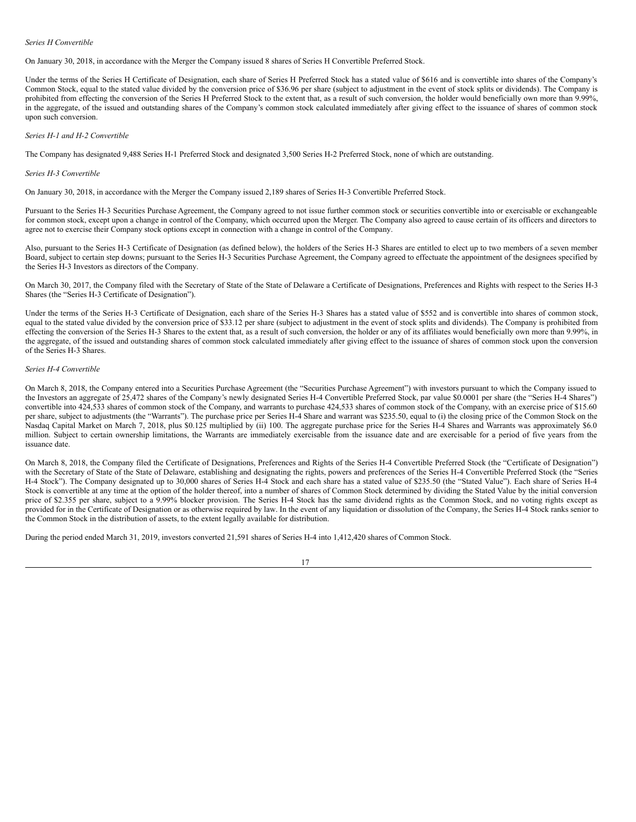### *Series H Convertible*

On January 30, 2018, in accordance with the Merger the Company issued 8 shares of Series H Convertible Preferred Stock.

Under the terms of the Series H Certificate of Designation, each share of Series H Preferred Stock has a stated value of \$616 and is convertible into shares of the Company's Common Stock, equal to the stated value divided by the conversion price of \$36.96 per share (subject to adjustment in the event of stock splits or dividends). The Company is prohibited from effecting the conversion of the Series H Preferred Stock to the extent that, as a result of such conversion, the holder would beneficially own more than 9.99%, in the aggregate, of the issued and outstanding shares of the Company's common stock calculated immediately after giving effect to the issuance of shares of common stock upon such conversion.

### *Series H-1 and H-2 Convertible*

The Company has designated 9,488 Series H-1 Preferred Stock and designated 3,500 Series H-2 Preferred Stock, none of which are outstanding.

#### *Series H-3 Convertible*

On January 30, 2018, in accordance with the Merger the Company issued 2,189 shares of Series H-3 Convertible Preferred Stock.

Pursuant to the Series H-3 Securities Purchase Agreement, the Company agreed to not issue further common stock or securities convertible into or exercisable or exchangeable for common stock, except upon a change in control of the Company, which occurred upon the Merger. The Company also agreed to cause certain of its officers and directors to agree not to exercise their Company stock options except in connection with a change in control of the Company.

Also, pursuant to the Series H-3 Certificate of Designation (as defined below), the holders of the Series H-3 Shares are entitled to elect up to two members of a seven member Board, subject to certain step downs; pursuant to the Series H-3 Securities Purchase Agreement, the Company agreed to effectuate the appointment of the designees specified by the Series H-3 Investors as directors of the Company.

On March 30, 2017, the Company filed with the Secretary of State of the State of Delaware a Certificate of Designations, Preferences and Rights with respect to the Series H-3 Shares (the "Series H-3 Certificate of Designation").

Under the terms of the Series H-3 Certificate of Designation, each share of the Series H-3 Shares has a stated value of \$552 and is convertible into shares of common stock, equal to the stated value divided by the conversion price of \$33.12 per share (subject to adjustment in the event of stock splits and dividends). The Company is prohibited from effecting the conversion of the Series H-3 Shares to the extent that, as a result of such conversion, the holder or any of its affiliates would beneficially own more than 9.99%, in the aggregate, of the issued and outstanding shares of common stock calculated immediately after giving effect to the issuance of shares of common stock upon the conversion of the Series H-3 Shares.

### *Series H-4 Convertible*

On March 8, 2018, the Company entered into a Securities Purchase Agreement (the "Securities Purchase Agreement") with investors pursuant to which the Company issued to the Investors an aggregate of 25,472 shares of the Company's newly designated Series H-4 Convertible Preferred Stock, par value \$0.0001 per share (the "Series H-4 Shares") convertible into 424,533 shares of common stock of the Company, and warrants to purchase 424,533 shares of common stock of the Company, with an exercise price of \$15.60 per share, subject to adjustments (the "Warrants"). The purchase price per Series H-4 Share and warrant was \$235.50, equal to (i) the closing price of the Common Stock on the Nasdaq Capital Market on March 7, 2018, plus \$0.125 multiplied by (ii) 100. The aggregate purchase price for the Series H-4 Shares and Warrants was approximately \$6.0 million. Subject to certain ownership limitations, the Warrants are immediately exercisable from the issuance date and are exercisable for a period of five years from the issuance date.

On March 8, 2018, the Company filed the Certificate of Designations, Preferences and Rights of the Series H-4 Convertible Preferred Stock (the "Certificate of Designation") with the Secretary of State of the State of Delaware, establishing and designating the rights, powers and preferences of the Series H-4 Convertible Preferred Stock (the "Series H-4 Stock"). The Company designated up to 30,000 shares of Series H-4 Stock and each share has a stated value of \$235.50 (the "Stated Value"). Each share of Series H-4 Stock is convertible at any time at the option of the holder thereof, into a number of shares of Common Stock determined by dividing the Stated Value by the initial conversion price of \$2.355 per share, subject to a 9.99% blocker provision. The Series H-4 Stock has the same dividend rights as the Common Stock, and no voting rights except as provided for in the Certificate of Designation or as otherwise required by law. In the event of any liquidation or dissolution of the Company, the Series H-4 Stock ranks senior to the Common Stock in the distribution of assets, to the extent legally available for distribution.

During the period ended March 31, 2019, investors converted 21,591 shares of Series H-4 into 1,412,420 shares of Common Stock.

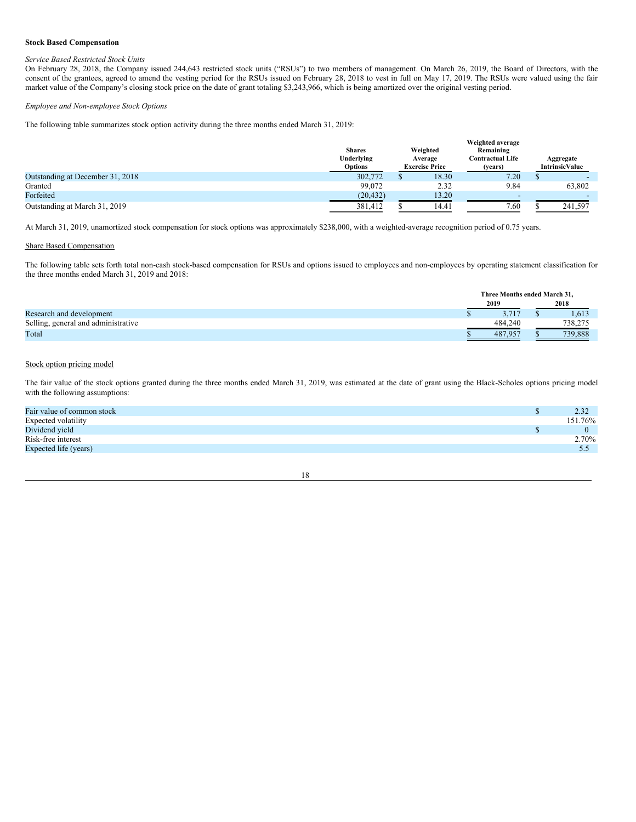### **Stock Based Compensation**

## *Service Based Restricted Stock Units*

On February 28, 2018, the Company issued 244,643 restricted stock units ("RSUs") to two members of management. On March 26, 2019, the Board of Directors, with the consent of the grantees, agreed to amend the vesting period for the RSUs issued on February 28, 2018 to vest in full on May 17, 2019. The RSUs were valued using the fair market value of the Company's closing stock price on the date of grant totaling \$3,243,966, which is being amortized over the original vesting period.

#### *Employee and Non-employee Stock Options*

The following table summarizes stock option activity during the three months ended March 31, 2019:

|                                  | <b>Shares</b><br>Underlying<br><b>Options</b> | Weighted<br>Average<br><b>Exercise Price</b> | Weighted average<br>Remaining<br><b>Contractual Life</b><br>(years) | Aggregate<br><b>IntrinsicValue</b> |
|----------------------------------|-----------------------------------------------|----------------------------------------------|---------------------------------------------------------------------|------------------------------------|
| Outstanding at December 31, 2018 | 302,772                                       | 18.30                                        | 7.20                                                                |                                    |
| Granted                          | 99,072                                        | 2.32                                         | 9.84                                                                | 63.802                             |
| Forfeited                        | (20, 432)                                     | 13.20                                        | -                                                                   |                                    |
| Outstanding at March 31, 2019    | 381,412                                       | 14.41                                        | 7.60                                                                | 241,597                            |

At March 31, 2019, unamortized stock compensation for stock options was approximately \$238,000, with a weighted-average recognition period of 0.75 years.

## Share Based Compensation

The following table sets forth total non-cash stock-based compensation for RSUs and options issued to employees and non-employees by operating statement classification for the three months ended March 31, 2019 and 2018:

|                                     | Three Months ended March 31, |  |         |  |  |
|-------------------------------------|------------------------------|--|---------|--|--|
|                                     | 2019                         |  | 2018    |  |  |
| Research and development            |                              |  | 1,613   |  |  |
| Selling, general and administrative | 484,240                      |  | 738,275 |  |  |
| Total                               | 487.95                       |  | 739.888 |  |  |

## Stock option pricing model

The fair value of the stock options granted during the three months ended March 31, 2019, was estimated at the date of grant using the Black-Scholes options pricing model with the following assumptions:

| 2.32    |
|---------|
| 151.76% |
|         |
| 2.70%   |
| 5.5     |
|         |

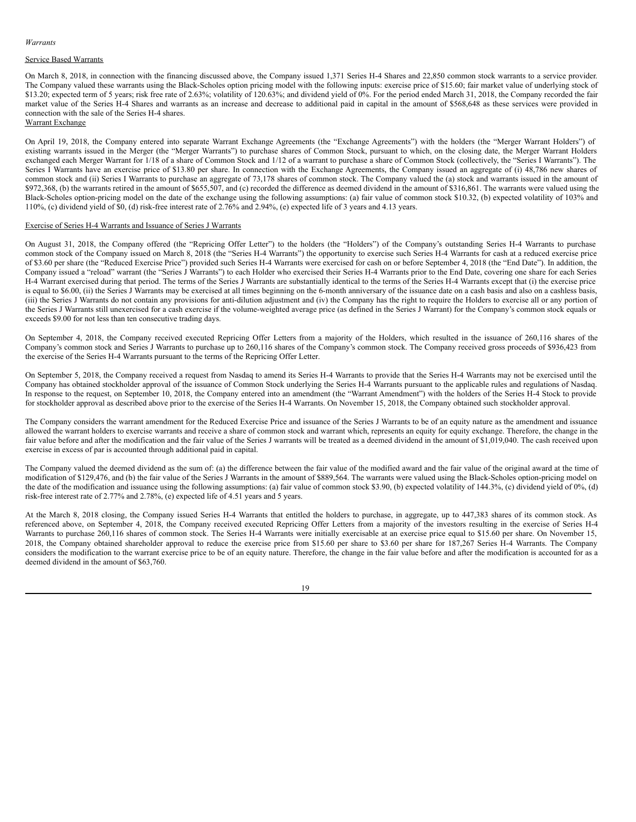#### *Warrants*

### Service Based Warrants

On March 8, 2018, in connection with the financing discussed above, the Company issued 1,371 Series H-4 Shares and 22,850 common stock warrants to a service provider. The Company valued these warrants using the Black-Scholes option pricing model with the following inputs: exercise price of \$15.60; fair market value of underlying stock of \$13.20; expected term of 5 years; risk free rate of 2.63%; volatility of 120.63%; and dividend yield of 0%. For the period ended March 31, 2018, the Company recorded the fair market value of the Series H-4 Shares and warrants as an increase and decrease to additional paid in capital in the amount of \$568,648 as these services were provided in connection with the sale of the Series H-4 shares.

Warrant Exchange

On April 19, 2018, the Company entered into separate Warrant Exchange Agreements (the "Exchange Agreements") with the holders (the "Merger Warrant Holders") of existing warrants issued in the Merger (the "Merger Warrants") to purchase shares of Common Stock, pursuant to which, on the closing date, the Merger Warrant Holders exchanged each Merger Warrant for 1/18 of a share of Common Stock and 1/12 of a warrant to purchase a share of Common Stock (collectively, the "Series I Warrants"). The Series I Warrants have an exercise price of \$13.80 per share. In connection with the Exchange Agreements, the Company issued an aggregate of (i) 48,786 new shares of common stock and (ii) Series I Warrants to purchase an aggregate of 73,178 shares of common stock. The Company valued the (a) stock and warrants issued in the amount of \$972,368, (b) the warrants retired in the amount of \$655,507, and (c) recorded the difference as deemed dividend in the amount of \$316,861. The warrants were valued using the Black-Scholes option-pricing model on the date of the exchange using the following assumptions: (a) fair value of common stock \$10.32, (b) expected volatility of 103% and 110%, (c) dividend yield of \$0, (d) risk-free interest rate of 2.76% and 2.94%, (e) expected life of 3 years and 4.13 years.

## Exercise of Series H-4 Warrants and Issuance of Series J Warrants

On August 31, 2018, the Company offered (the "Repricing Offer Letter") to the holders (the "Holders") of the Company's outstanding Series H-4 Warrants to purchase common stock of the Company issued on March 8, 2018 (the "Series H-4 Warrants") the opportunity to exercise such Series H-4 Warrants for cash at a reduced exercise price of \$3.60 per share (the "Reduced Exercise Price") provided such Series H-4 Warrants were exercised for cash on or before September 4, 2018 (the "End Date"). In addition, the Company issued a "reload" warrant (the "Series J Warrants") to each Holder who exercised their Series H-4 Warrants prior to the End Date, covering one share for each Series H-4 Warrant exercised during that period. The terms of the Series J Warrants are substantially identical to the terms of the Series H-4 Warrants except that (i) the exercise price is equal to \$6.00, (ii) the Series J Warrants may be exercised at all times beginning on the 6-month anniversary of the issuance date on a cash basis and also on a cashless basis, (iii) the Series J Warrants do not contain any provisions for anti-dilution adjustment and (iv) the Company has the right to require the Holders to exercise all or any portion of the Series J Warrants still unexercised for a cash exercise if the volume-weighted average price (as defined in the Series J Warrant) for the Company's common stock equals or exceeds \$9.00 for not less than ten consecutive trading days.

On September 4, 2018, the Company received executed Repricing Offer Letters from a majority of the Holders, which resulted in the issuance of 260,116 shares of the Company's common stock and Series J Warrants to purchase up to 260,116 shares of the Company's common stock. The Company received gross proceeds of \$936,423 from the exercise of the Series H-4 Warrants pursuant to the terms of the Repricing Offer Letter.

On September 5, 2018, the Company received a request from Nasdaq to amend its Series H-4 Warrants to provide that the Series H-4 Warrants may not be exercised until the Company has obtained stockholder approval of the issuance of Common Stock underlying the Series H-4 Warrants pursuant to the applicable rules and regulations of Nasdaq. In response to the request, on September 10, 2018, the Company entered into an amendment (the "Warrant Amendment") with the holders of the Series H-4 Stock to provide for stockholder approval as described above prior to the exercise of the Series H-4 Warrants. On November 15, 2018, the Company obtained such stockholder approval.

The Company considers the warrant amendment for the Reduced Exercise Price and issuance of the Series J Warrants to be of an equity nature as the amendment and issuance allowed the warrant holders to exercise warrants and receive a share of common stock and warrant which, represents an equity for equity exchange. Therefore, the change in the fair value before and after the modification and the fair value of the Series J warrants will be treated as a deemed dividend in the amount of \$1,019,040. The cash received upon exercise in excess of par is accounted through additional paid in capital.

The Company valued the deemed dividend as the sum of: (a) the difference between the fair value of the modified award and the fair value of the original award at the time of modification of \$129,476, and (b) the fair value of the Series J Warrants in the amount of \$889,564. The warrants were valued using the Black-Scholes option-pricing model on the date of the modification and issuance using the following assumptions: (a) fair value of common stock \$3.90, (b) expected volatility of 144.3%, (c) dividend yield of 0%, (d) risk-free interest rate of 2.77% and 2.78%, (e) expected life of 4.51 years and 5 years.

At the March 8, 2018 closing, the Company issued Series H-4 Warrants that entitled the holders to purchase, in aggregate, up to 447,383 shares of its common stock. As referenced above, on September 4, 2018, the Company received executed Repricing Offer Letters from a majority of the investors resulting in the exercise of Series H-4 Warrants to purchase 260,116 shares of common stock. The Series H-4 Warrants were initially exercisable at an exercise price equal to \$15.60 per share. On November 15, 2018, the Company obtained shareholder approval to reduce the exercise price from \$15.60 per share to \$3.60 per share for 187,267 Series H-4 Warrants. The Company considers the modification to the warrant exercise price to be of an equity nature. Therefore, the change in the fair value before and after the modification is accounted for as a deemed dividend in the amount of \$63,760.

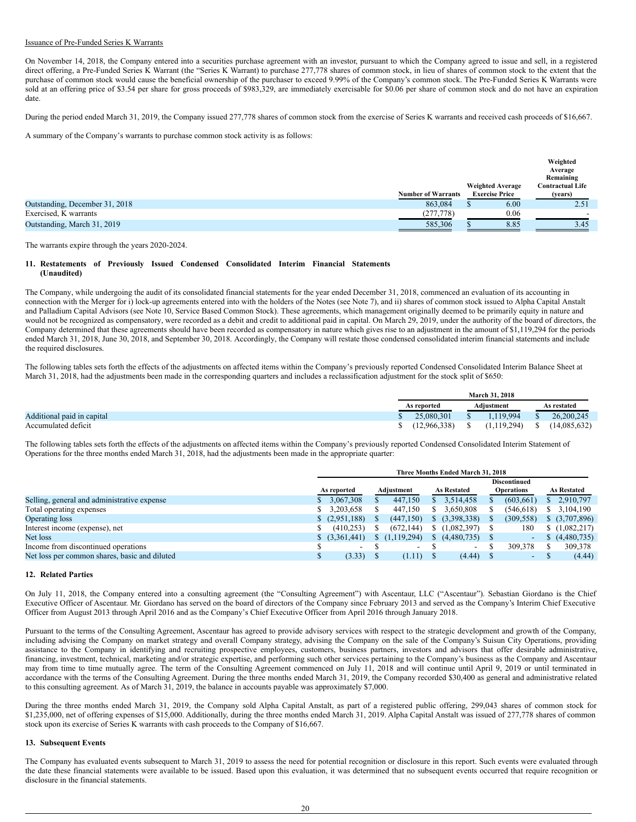### Issuance of Pre-Funded Series K Warrants

On November 14, 2018, the Company entered into a securities purchase agreement with an investor, pursuant to which the Company agreed to issue and sell, in a registered direct offering, a Pre-Funded Series K Warrant (the "Series K Warrant) to purchase 277,778 shares of common stock, in lieu of shares of common stock to the extent that the purchase of common stock would cause the beneficial ownership of the purchaser to exceed 9.99% of the Company's common stock. The Pre-Funded Series K Warrants were sold at an offering price of \$3.54 per share for gross proceeds of \$983,329, are immediately exercisable for \$0.06 per share of common stock and do not have an expiration date.

During the period ended March 31, 2019, the Company issued 277,778 shares of common stock from the exercise of Series K warrants and received cash proceeds of \$16,667.

A summary of the Company's warrants to purchase common stock activity is as follows:

|                                |                           |                         | Weighted<br>Average     |
|--------------------------------|---------------------------|-------------------------|-------------------------|
|                                |                           |                         | Remaining               |
|                                |                           | <b>Weighted Average</b> | <b>Contractual Life</b> |
|                                | <b>Number of Warrants</b> | <b>Exercise Price</b>   | (vears)                 |
| Outstanding, December 31, 2018 | 863,084                   | 6.00                    | 2.51                    |
| Exercised, K warrants          | (277, 778)                | 0.06                    | -                       |
| Outstanding, March 31, 2019    | 585,306                   | 8.85                    | 3.45                    |

The warrants expire through the years 2020-2024.

#### **11. Restatements of Previously Issued Condensed Consolidated Interim Financial Statements (Unaudited)**

The Company, while undergoing the audit of its consolidated financial statements for the year ended December 31, 2018, commenced an evaluation of its accounting in connection with the Merger for i) lock-up agreements entered into with the holders of the Notes (see Note 7), and ii) shares of common stock issued to Alpha Capital Anstalt and Palladium Capital Advisors (see Note 10, Service Based Common Stock). These agreements, which management originally deemed to be primarily equity in nature and would not be recognized as compensatory, were recorded as a debit and credit to additional paid in capital. On March 29, 2019, under the authority of the board of directors, the Company determined that these agreements should have been recorded as compensatory in nature which gives rise to an adjustment in the amount of \$1,119,294 for the periods ended March 31, 2018, June 30, 2018, and September 30, 2018. Accordingly, the Company will restate those condensed consolidated interim financial statements and include the required disclosures.

The following tables sets forth the effects of the adjustments on affected items within the Company's previously reported Condensed Consolidated Interim Balance Sheet at March 31, 2018, had the adjustments been made in the corresponding quarters and includes a reclassification adjustment for the stock split of \$650:

|                            | <b>March 31, 2018</b>     |              |  |                    |  |              |
|----------------------------|---------------------------|--------------|--|--------------------|--|--------------|
|                            | Adiustment<br>As reported |              |  | <b>As restated</b> |  |              |
| Additional paid in capital |                           | 25,080,301   |  | .119.994           |  | 26,200,245   |
| Accumulated deficit        |                           | (12.966.338) |  | (1.119.294)        |  | (14.085.632) |

The following tables sets forth the effects of the adjustments on affected items within the Company's previously reported Condensed Consolidated Interim Statement of Operations for the three months ended March 31, 2018, had the adjustments been made in the appropriate quarter:

|                                               | Three Months Ended March 31, 2018 |                          |  |                          |    |                          |  |                          |    |                    |
|-----------------------------------------------|-----------------------------------|--------------------------|--|--------------------------|----|--------------------------|--|--------------------------|----|--------------------|
|                                               |                                   |                          |  |                          |    |                          |  | <b>Discontinued</b>      |    |                    |
|                                               |                                   | As reported              |  | Adjustment               |    | <b>As Restated</b>       |  | <b>Operations</b>        |    | <b>As Restated</b> |
| Selling, general and administrative expense   |                                   | 3,067,308                |  | 447,150                  |    | 3,514,458                |  | (603, 661)               | 8. | 2,910,797          |
| Total operating expenses                      |                                   | 3,203,658                |  | 447,150                  | S  | 3,650,808                |  | (546, 618)               | S. | 3,104,190          |
| Operating loss                                |                                   | (2,951,188)              |  | (447, 150)               | S. | (3,398,338)              |  | (309, 558)               |    | $$^{(3,707,896)}$  |
| Interest income (expense), net                |                                   | (410, 253)               |  | (672, 144)               | S. | (1,082,397)              |  | 180                      |    | (1,082,217)        |
| Net loss                                      |                                   | \$ (3,361,441)           |  | \$(1,119,294)            | S. | (4,480,735)              |  | ٠                        |    | (4,480,735)        |
| Income from discontinued operations           |                                   | $\overline{\phantom{0}}$ |  | $\overline{\phantom{a}}$ |    | $\overline{\phantom{a}}$ |  | 309,378                  | S  | 309,378            |
| Net loss per common shares, basic and diluted | S                                 | (3.33)                   |  | (1.11)                   |    | (4.44)                   |  | $\overline{\phantom{a}}$ |    | (4.44)             |

### **12. Related Parties**

On July 11, 2018, the Company entered into a consulting agreement (the "Consulting Agreement") with Ascentaur, LLC ("Ascentaur"). Sebastian Giordano is the Chief Executive Officer of Ascentaur. Mr. Giordano has served on the board of directors of the Company since February 2013 and served as the Company's Interim Chief Executive Officer from August 2013 through April 2016 and as the Company's Chief Executive Officer from April 2016 through January 2018.

Pursuant to the terms of the Consulting Agreement, Ascentaur has agreed to provide advisory services with respect to the strategic development and growth of the Company, including advising the Company on market strategy and overall Company strategy, advising the Company on the sale of the Company's Suisun City Operations, providing assistance to the Company in identifying and recruiting prospective employees, customers, business partners, investors and advisors that offer desirable administrative, financing, investment, technical, marketing and/or strategic expertise, and performing such other services pertaining to the Company's business as the Company and Ascentaur may from time to time mutually agree. The term of the Consulting Agreement commenced on July 11, 2018 and will continue until April 9, 2019 or until terminated in accordance with the terms of the Consulting Agreement. During the three months ended March 31, 2019, the Company recorded \$30,400 as general and administrative related to this consulting agreement. As of March 31, 2019, the balance in accounts payable was approximately \$7,000.

During the three months ended March 31, 2019, the Company sold Alpha Capital Anstalt, as part of a registered public offering, 299,043 shares of common stock for \$1,235,000, net of offering expenses of \$15,000. Additionally, during the three months ended March 31, 2019. Alpha Capital Anstalt was issued of 277,778 shares of common stock upon its exercise of Series K warrants with cash proceeds to the Company of \$16,667.

#### **13. Subsequent Events**

The Company has evaluated events subsequent to March 31, 2019 to assess the need for potential recognition or disclosure in this report. Such events were evaluated through the date these financial statements were available to be issued. Based upon this evaluation, it was determined that no subsequent events occurred that require recognition or disclosure in the financial statements.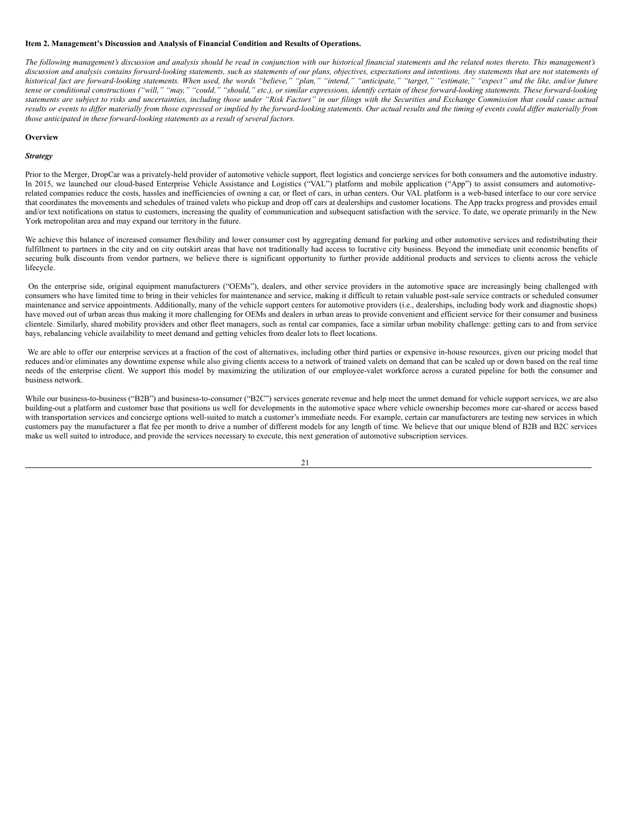## <span id="page-21-0"></span>**Item 2. Management's Discussion and Analysis of Financial Condition and Results of Operations.**

The following management's discussion and analysis should be read in conjunction with our historical financial statements and the related notes thereto. This management's discussion and analysis contains forward-looking statements, such as statements of our plans, objectives, expectations and intentions. Any statements that are not statements of historical fact are forward-looking statements. When used, the words "believe," "plan," "intend," "anticipate," "target," "estimate," "expect" and the like, and/or future tense or conditional constructions ("will," "may," "could," "should," etc.), or similar expressions, identify certain of these forward-looking statements. These forward-looking statements are subject to risks and uncertainties, including those under "Risk Factors" in our filings with the Securities and Exchange Commission that could cause actual results or events to differ materially from those expressed or implied by the forward-looking statements. Our actual results and the timing of events could differ materially from *those anticipated in these forward-looking statements as a result of several factors.*

#### **Overview**

#### *Strategy*

Prior to the Merger, DropCar was a privately-held provider of automotive vehicle support, fleet logistics and concierge services for both consumers and the automotive industry. In 2015, we launched our cloud-based Enterprise Vehicle Assistance and Logistics ("VAL") platform and mobile application ("App") to assist consumers and automotiverelated companies reduce the costs, hassles and inefficiencies of owning a car, or fleet of cars, in urban centers. Our VAL platform is a web-based interface to our core service that coordinates the movements and schedules of trained valets who pickup and drop off cars at dealerships and customer locations. The App tracks progress and provides email and/or text notifications on status to customers, increasing the quality of communication and subsequent satisfaction with the service. To date, we operate primarily in the New York metropolitan area and may expand our territory in the future.

We achieve this balance of increased consumer flexibility and lower consumer cost by aggregating demand for parking and other automotive services and redistributing their fulfillment to partners in the city and on city outskirt areas that have not traditionally had access to lucrative city business. Beyond the immediate unit economic benefits of securing bulk discounts from vendor partners, we believe there is significant opportunity to further provide additional products and services to clients across the vehicle lifecycle.

On the enterprise side, original equipment manufacturers ("OEMs"), dealers, and other service providers in the automotive space are increasingly being challenged with consumers who have limited time to bring in their vehicles for maintenance and service, making it difficult to retain valuable post-sale service contracts or scheduled consumer maintenance and service appointments. Additionally, many of the vehicle support centers for automotive providers (i.e., dealerships, including body work and diagnostic shops) have moved out of urban areas thus making it more challenging for OEMs and dealers in urban areas to provide convenient and efficient service for their consumer and business clientele. Similarly, shared mobility providers and other fleet managers, such as rental car companies, face a similar urban mobility challenge: getting cars to and from service bays, rebalancing vehicle availability to meet demand and getting vehicles from dealer lots to fleet locations.

We are able to offer our enterprise services at a fraction of the cost of alternatives, including other third parties or expensive in-house resources, given our pricing model that reduces and/or eliminates any downtime expense while also giving clients access to a network of trained valets on demand that can be scaled up or down based on the real time needs of the enterprise client. We support this model by maximizing the utilization of our employee-valet workforce across a curated pipeline for both the consumer and business network.

While our business-to-business ("B2B") and business-to-consumer ("B2C") services generate revenue and help meet the unmet demand for vehicle support services, we are also building-out a platform and customer base that positions us well for developments in the automotive space where vehicle ownership becomes more car-shared or access based with transportation services and concierge options well-suited to match a customer's immediate needs. For example, certain car manufacturers are testing new services in which customers pay the manufacturer a flat fee per month to drive a number of different models for any length of time. We believe that our unique blend of B2B and B2C services make us well suited to introduce, and provide the services necessary to execute, this next generation of automotive subscription services.

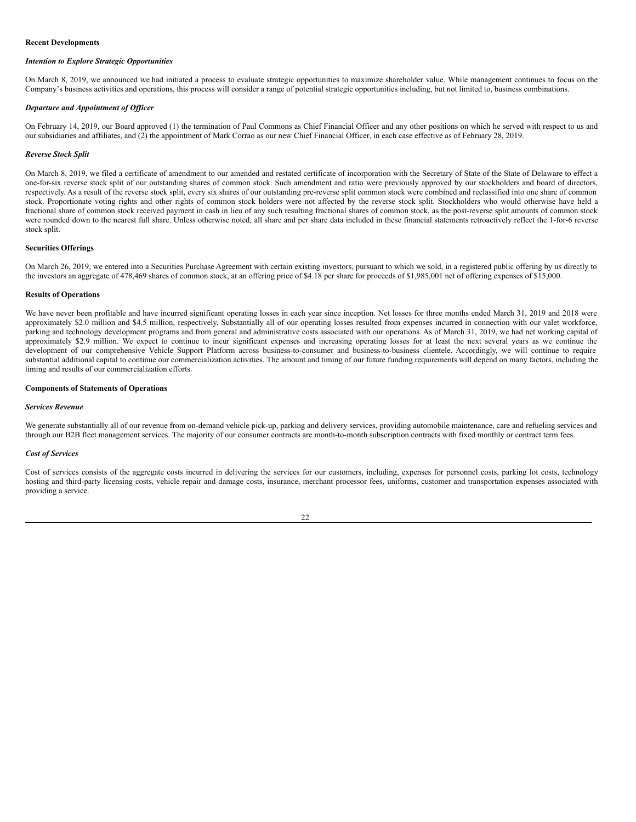#### **Recent Developments**

### *Intention to Explore Strategic Opportunities*

On March 8, 2019, we announced we had initiated a process to evaluate strategic opportunities to maximize shareholder value. While management continues to focus on the Company's business activities and operations, this process will consider a range of potential strategic opportunities including, but not limited to, business combinations.

#### *Departure and Appointment of Of icer*

On February 14, 2019, our Board approved (1) the termination of Paul Commons as Chief Financial Officer and any other positions on which he served with respect to us and our subsidiaries and affiliates, and (2) the appointment of Mark Corrao as our new Chief Financial Officer, in each case effective as of February 28, 2019.

#### *Reverse Stock Split*

On March 8, 2019, we filed a certificate of amendment to our amended and restated certificate of incorporation with the Secretary of State of the State of Delaware to effect a one-for-six reverse stock split of our outstanding shares of common stock. Such amendment and ratio were previously approved by our stockholders and board of directors, respectively. As a result of the reverse stock split, every six shares of our outstanding pre-reverse split common stock were combined and reclassified into one share of common stock. Proportionate voting rights and other rights of common stock holders were not affected by the reverse stock split. Stockholders who would otherwise have held a fractional share of common stock received payment in cash in lieu of any such resulting fractional shares of common stock, as the post-reverse split amounts of common stock were rounded down to the nearest full share. Unless otherwise noted, all share and per share data included in these financial statements retroactively reflect the 1-for-6 reverse stock split.

### **Securities Offerings**

On March 26, 2019, we entered into a Securities Purchase Agreement with certain existing investors, pursuant to which we sold, in a registered public offering by us directly to the investors an aggregate of 478,469 shares of common stock, at an offering price of \$4.18 per share for proceeds of \$1,985,001 net of offering expenses of \$15,000.

#### **Results of Operations**

We have never been profitable and have incurred significant operating losses in each year since inception. Net losses for three months ended March 31, 2019 and 2018 were approximately \$2.0 million and \$4.5 million, respectively. Substantially all of our operating losses resulted from expenses incurred in connection with our valet workforce, parking and technology development programs and from general and administrative costs associated with our operations. As of March 31, 2019, we had net working capital of approximately \$2.9 million. We expect to continue to incur significant expenses and increasing operating losses for at least the next several years as we continue the development of our comprehensive Vehicle Support Platform across business-to-consumer and business-to-business clientele. Accordingly, we will continue to require substantial additional capital to continue our commercialization activities. The amount and timing of our future funding requirements will depend on many factors, including the timing and results of our commercialization efforts.

#### **Components of Statements of Operations**

#### *Services Revenue*

We generate substantially all of our revenue from on-demand vehicle pick-up, parking and delivery services, providing automobile maintenance, care and refueling services and through our B2B fleet management services. The majority of our consumer contracts are month-to-month subscription contracts with fixed monthly or contract term fees.

#### *Cost of Services*

Cost of services consists of the aggregate costs incurred in delivering the services for our customers, including, expenses for personnel costs, parking lot costs, technology hosting and third-party licensing costs, vehicle repair and damage costs, insurance, merchant processor fees, uniforms, customer and transportation expenses associated with providing a service.

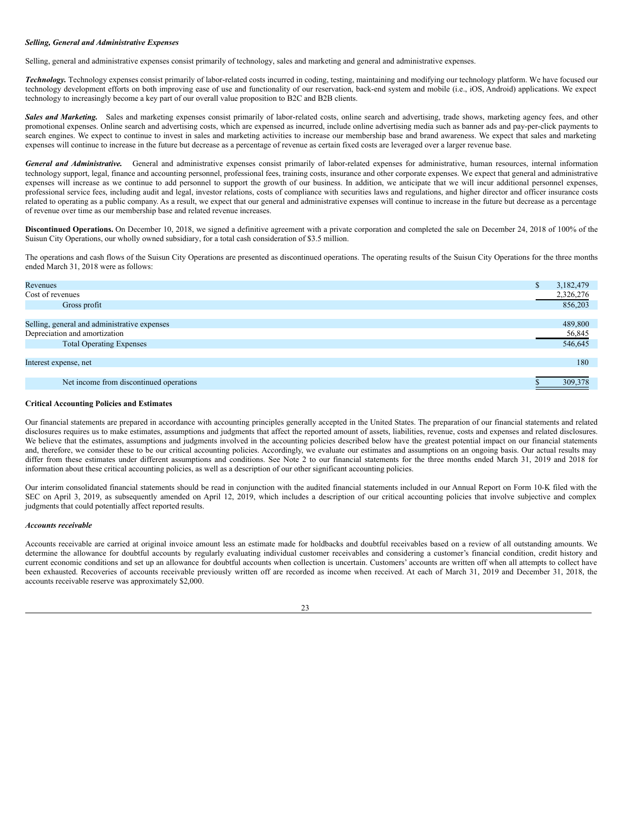#### *Selling, General and Administrative Expenses*

Selling, general and administrative expenses consist primarily of technology, sales and marketing and general and administrative expenses.

*Technology.* Technology expenses consist primarily of labor-related costs incurred in coding, testing, maintaining and modifying our technology platform. We have focused our technology development efforts on both improving ease of use and functionality of our reservation, back-end system and mobile (i.e., iOS, Android) applications. We expect technology to increasingly become a key part of our overall value proposition to B2C and B2B clients.

Sales and Marketing. Sales and marketing expenses consist primarily of labor-related costs, online search and advertising, trade shows, marketing agency fees, and other promotional expenses. Online search and advertising costs, which are expensed as incurred, include online advertising media such as banner ads and pay-per-click payments to search engines. We expect to continue to invest in sales and marketing activities to increase our membership base and brand awareness. We expect that sales and marketing expenses will continue to increase in the future but decrease as a percentage of revenue as certain fixed costs are leveraged over a larger revenue base.

*General and Administrative.* General and administrative expenses consist primarily of labor-related expenses for administrative, human resources, internal information technology support, legal, finance and accounting personnel, professional fees, training costs, insurance and other corporate expenses. We expect that general and administrative expenses will increase as we continue to add personnel to support the growth of our business. In addition, we anticipate that we will incur additional personnel expenses, professional service fees, including audit and legal, investor relations, costs of compliance with securities laws and regulations, and higher director and officer insurance costs related to operating as a public company. As a result, we expect that our general and administrative expenses will continue to increase in the future but decrease as a percentage of revenue over time as our membership base and related revenue increases.

**Discontinued Operations.** On December 10, 2018, we signed a definitive agreement with a private corporation and completed the sale on December 24, 2018 of 100% of the Suisun City Operations, our wholly owned subsidiary, for a total cash consideration of \$3.5 million.

The operations and cash flows of the Suisun City Operations are presented as discontinued operations. The operating results of the Suisun City Operations for the three months ended March 31, 2018 were as follows:

| Revenues                                     | аħ. | 3,182,479 |
|----------------------------------------------|-----|-----------|
| Cost of revenues                             |     | 2,326,276 |
| Gross profit                                 |     | 856,203   |
|                                              |     |           |
| Selling, general and administrative expenses |     | 489,800   |
| Depreciation and amortization                |     | 56,845    |
| <b>Total Operating Expenses</b>              |     | 546,645   |
|                                              |     |           |
| Interest expense, net                        |     | 180       |
|                                              |     |           |
| Net income from discontinued operations      |     | 309,378   |

#### **Critical Accounting Policies and Estimates**

Our financial statements are prepared in accordance with accounting principles generally accepted in the United States. The preparation of our financial statements and related disclosures requires us to make estimates, assumptions and judgments that affect the reported amount of assets, liabilities, revenue, costs and expenses and related disclosures. We believe that the estimates, assumptions and judgments involved in the accounting policies described below have the greatest potential impact on our financial statements and, therefore, we consider these to be our critical accounting policies. Accordingly, we evaluate our estimates and assumptions on an ongoing basis. Our actual results may differ from these estimates under different assumptions and conditions. See Note 2 to our financial statements for the three months ended March 31, 2019 and 2018 for information about these critical accounting policies, as well as a description of our other significant accounting policies.

Our interim consolidated financial statements should be read in conjunction with the audited financial statements included in our Annual Report on Form 10-K filed with the SEC on April 3, 2019, as subsequently amended on April 12, 2019, which includes a description of our critical accounting policies that involve subjective and complex judgments that could potentially affect reported results.

#### *Accounts receivable*

Accounts receivable are carried at original invoice amount less an estimate made for holdbacks and doubtful receivables based on a review of all outstanding amounts. We determine the allowance for doubtful accounts by regularly evaluating individual customer receivables and considering a customer's financial condition, credit history and current economic conditions and set up an allowance for doubtful accounts when collection is uncertain. Customers' accounts are written off when all attempts to collect have been exhausted. Recoveries of accounts receivable previously written off are recorded as income when received. At each of March 31, 2019 and December 31, 2018, the accounts receivable reserve was approximately \$2,000.

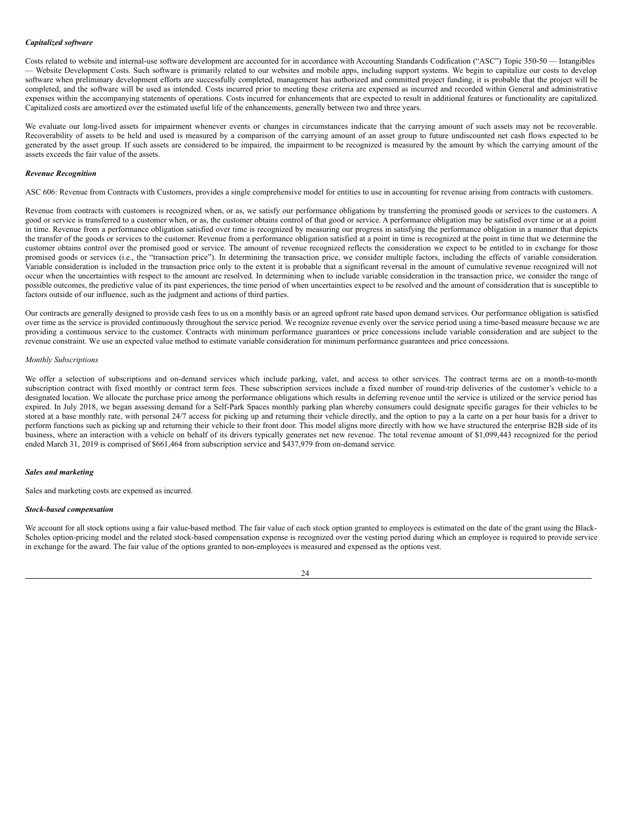### *Capitalized software*

Costs related to website and internal-use software development are accounted for in accordance with Accounting Standards Codification ("ASC") Topic 350-50 — Intangibles — Website Development Costs. Such software is primarily related to our websites and mobile apps, including support systems. We begin to capitalize our costs to develop software when preliminary development efforts are successfully completed, management has authorized and committed project funding, it is probable that the project will be completed, and the software will be used as intended. Costs incurred prior to meeting these criteria are expensed as incurred and recorded within General and administrative expenses within the accompanying statements of operations. Costs incurred for enhancements that are expected to result in additional features or functionality are capitalized. Capitalized costs are amortized over the estimated useful life of the enhancements, generally between two and three years.

We evaluate our long-lived assets for impairment whenever events or changes in circumstances indicate that the carrying amount of such assets may not be recoverable. Recoverability of assets to be held and used is measured by a comparison of the carrying amount of an asset group to future undiscounted net cash flows expected to be generated by the asset group. If such assets are considered to be impaired, the impairment to be recognized is measured by the amount by which the carrying amount of the assets exceeds the fair value of the assets.

#### *Revenue Recognition*

ASC 606: Revenue from Contracts with Customers, provides a single comprehensive model for entities to use in accounting for revenue arising from contracts with customers.

Revenue from contracts with customers is recognized when, or as, we satisfy our performance obligations by transferring the promised goods or services to the customers. A good or service is transferred to a customer when, or as, the customer obtains control of that good or service. A performance obligation may be satisfied over time or at a point in time. Revenue from a performance obligation satisfied over time is recognized by measuring our progress in satisfying the performance obligation in a manner that depicts the transfer of the goods or services to the customer. Revenue from a performance obligation satisfied at a point in time is recognized at the point in time that we determine the customer obtains control over the promised good or service. The amount of revenue recognized reflects the consideration we expect to be entitled to in exchange for those promised goods or services (i.e., the "transaction price"). In determining the transaction price, we consider multiple factors, including the effects of variable consideration. Variable consideration is included in the transaction price only to the extent it is probable that a significant reversal in the amount of cumulative revenue recognized will not occur when the uncertainties with respect to the amount are resolved. In determining when to include variable consideration in the transaction price, we consider the range of possible outcomes, the predictive value of its past experiences, the time period of when uncertainties expect to be resolved and the amount of consideration that is susceptible to factors outside of our influence, such as the judgment and actions of third parties.

Our contracts are generally designed to provide cash fees to us on a monthly basis or an agreed upfront rate based upon demand services. Our performance obligation is satisfied over time as the service is provided continuously throughout the service period. We recognize revenue evenly over the service period using a time-based measure because we are providing a continuous service to the customer. Contracts with minimum performance guarantees or price concessions include variable consideration and are subject to the revenue constraint. We use an expected value method to estimate variable consideration for minimum performance guarantees and price concessions.

#### *Monthly Subscriptions*

We offer a selection of subscriptions and on-demand services which include parking, valet, and access to other services. The contract terms are on a month-to-month subscription contract with fixed monthly or contract term fees. These subscription services include a fixed number of round-trip deliveries of the customer's vehicle to a designated location. We allocate the purchase price among the performance obligations which results in deferring revenue until the service is utilized or the service period has expired. In July 2018, we began assessing demand for a Self-Park Spaces monthly parking plan whereby consumers could designate specific garages for their vehicles to be stored at a base monthly rate, with personal 24/7 access for picking up and returning their vehicle directly, and the option to pay a la carte on a per hour basis for a driver to perform functions such as picking up and returning their vehicle to their front door. This model aligns more directly with how we have structured the enterprise B2B side of its business, where an interaction with a vehicle on behalf of its drivers typically generates net new revenue. The total revenue amount of \$1,099,443 recognized for the period ended March 31, 2019 is comprised of \$661,464 from subscription service and \$437,979 from on-demand service.

### *Sales and marketing*

Sales and marketing costs are expensed as incurred.

#### *Stock-based compensation*

We account for all stock options using a fair value-based method. The fair value of each stock option granted to employees is estimated on the date of the grant using the Black-Scholes option-pricing model and the related stock-based compensation expense is recognized over the vesting period during which an employee is required to provide service in exchange for the award. The fair value of the options granted to non-employees is measured and expensed as the options vest.

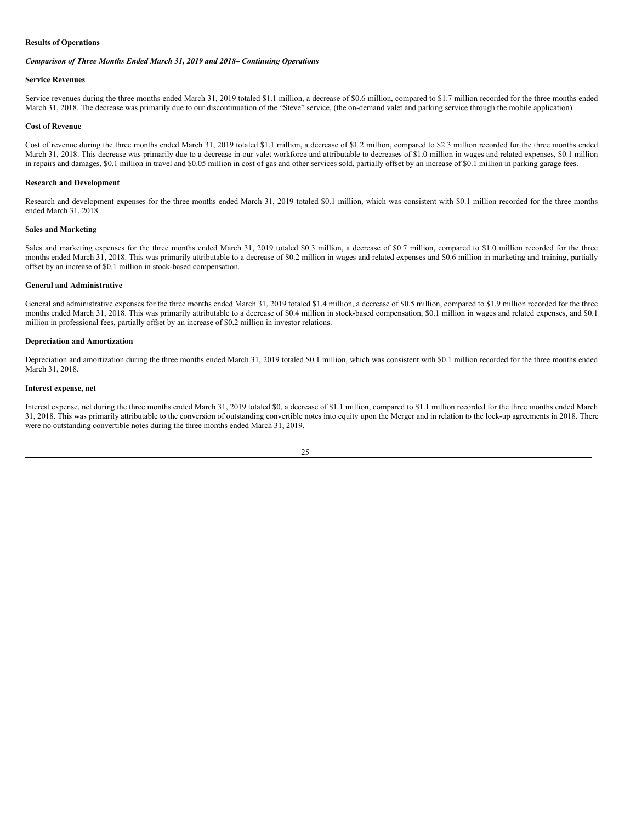### **Results of Operations**

## *Comparison of Three Months Ended March 31, 2019 and 2018– Continuing Operations*

## **Service Revenues**

Service revenues during the three months ended March 31, 2019 totaled \$1.1 million, a decrease of \$0.6 million, compared to \$1.7 million recorded for the three months ended March 31, 2018. The decrease was primarily due to our discontinuation of the "Steve" service, (the on-demand valet and parking service through the mobile application).

### **Cost of Revenue**

Cost of revenue during the three months ended March 31, 2019 totaled \$1.1 million, a decrease of \$1.2 million, compared to \$2.3 million recorded for the three months ended March 31, 2018. This decrease was primarily due to a decrease in our valet workforce and attributable to decreases of \$1.0 million in wages and related expenses, \$0.1 million in repairs and damages, \$0.1 million in travel and \$0.05 million in cost of gas and other services sold, partially offset by an increase of \$0.1 million in parking garage fees.

### **Research and Development**

Research and development expenses for the three months ended March 31, 2019 totaled \$0.1 million, which was consistent with \$0.1 million recorded for the three months ended March 31, 2018.

#### **Sales and Marketing**

Sales and marketing expenses for the three months ended March 31, 2019 totaled \$0.3 million, a decrease of \$0.7 million, compared to \$1.0 million recorded for the three months ended March 31, 2018. This was primarily attributable to a decrease of \$0.2 million in wages and related expenses and \$0.6 million in marketing and training, partially offset by an increase of \$0.1 million in stock-based compensation.

### **General and Administrative**

General and administrative expenses for the three months ended March 31, 2019 totaled \$1.4 million, a decrease of \$0.5 million, compared to \$1.9 million recorded for the three months ended March 31, 2018. This was primarily attributable to a decrease of \$0.4 million in stock-based compensation, \$0.1 million in wages and related expenses, and \$0.1 million in professional fees, partially offset by an increase of \$0.2 million in investor relations.

### **Depreciation and Amortization**

Depreciation and amortization during the three months ended March 31, 2019 totaled \$0.1 million, which was consistent with \$0.1 million recorded for the three months ended March 31, 2018.

#### **Interest expense, net**

Interest expense, net during the three months ended March 31, 2019 totaled \$0, a decrease of \$1.1 million, compared to \$1.1 million recorded for the three months ended March 31, 2018. This was primarily attributable to the conversion of outstanding convertible notes into equity upon the Merger and in relation to the lock-up agreements in 2018. There were no outstanding convertible notes during the three months ended March 31, 2019.

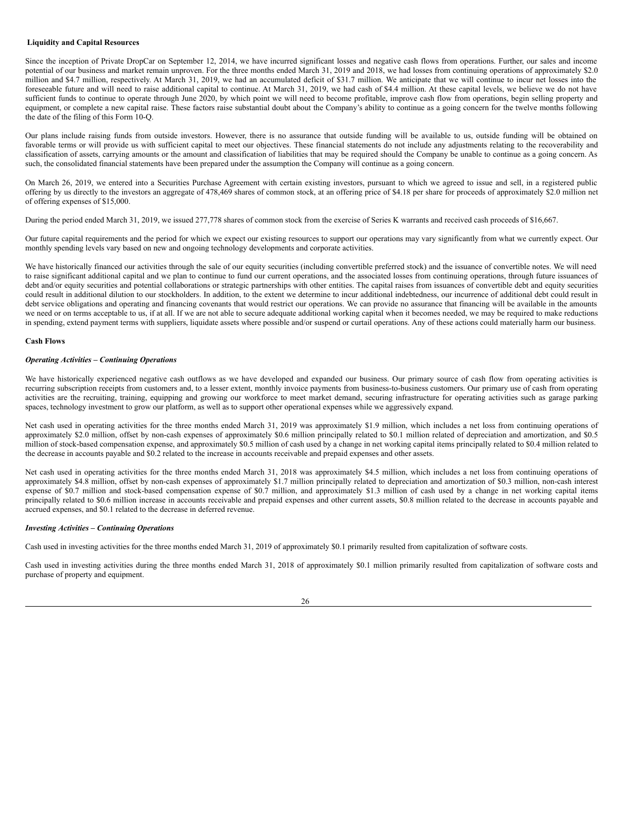### **Liquidity and Capital Resources**

Since the inception of Private DropCar on September 12, 2014, we have incurred significant losses and negative cash flows from operations. Further, our sales and income potential of our business and market remain unproven. For the three months ended March 31, 2019 and 2018, we had losses from continuing operations of approximately \$2.0 million and \$4.7 million, respectively. At March 31, 2019, we had an accumulated deficit of \$31.7 million. We anticipate that we will continue to incur net losses into the foreseeable future and will need to raise additional capital to continue. At March 31, 2019, we had cash of \$4.4 million. At these capital levels, we believe we do not have sufficient funds to continue to operate through June 2020, by which point we will need to become profitable, improve cash flow from operations, begin selling property and equipment, or complete a new capital raise. These factors raise substantial doubt about the Company's ability to continue as a going concern for the twelve months following the date of the filing of this Form 10-Q.

Our plans include raising funds from outside investors. However, there is no assurance that outside funding will be available to us, outside funding will be obtained on favorable terms or will provide us with sufficient capital to meet our objectives. These financial statements do not include any adjustments relating to the recoverability and classification of assets, carrying amounts or the amount and classification of liabilities that may be required should the Company be unable to continue as a going concern. As such, the consolidated financial statements have been prepared under the assumption the Company will continue as a going concern.

On March 26, 2019, we entered into a Securities Purchase Agreement with certain existing investors, pursuant to which we agreed to issue and sell, in a registered public offering by us directly to the investors an aggregate of 478,469 shares of common stock, at an offering price of \$4.18 per share for proceeds of approximately \$2.0 million net of offering expenses of \$15,000.

During the period ended March 31, 2019, we issued 277,778 shares of common stock from the exercise of Series K warrants and received cash proceeds of \$16,667.

Our future capital requirements and the period for which we expect our existing resources to support our operations may vary significantly from what we currently expect. Our monthly spending levels vary based on new and ongoing technology developments and corporate activities.

We have historically financed our activities through the sale of our equity securities (including convertible preferred stock) and the issuance of convertible notes. We will need to raise significant additional capital and we plan to continue to fund our current operations, and the associated losses from continuing operations, through future issuances of debt and/or equity securities and potential collaborations or strategic partnerships with other entities. The capital raises from issuances of convertible debt and equity securities could result in additional dilution to our stockholders. In addition, to the extent we determine to incur additional indebtedness, our incurrence of additional debt could result in debt service obligations and operating and financing covenants that would restrict our operations. We can provide no assurance that financing will be available in the amounts we need or on terms acceptable to us, if at all. If we are not able to secure adequate additional working capital when it becomes needed, we may be required to make reductions in spending, extend payment terms with suppliers, liquidate assets where possible and/or suspend or curtail operations. Any of these actions could materially harm our business.

### **Cash Flows**

### *Operating Activities – Continuing Operations*

We have historically experienced negative cash outflows as we have developed and expanded our business. Our primary source of cash flow from operating activities is recurring subscription receipts from customers and, to a lesser extent, monthly invoice payments from business-to-business customers. Our primary use of cash from operating activities are the recruiting, training, equipping and growing our workforce to meet market demand, securing infrastructure for operating activities such as garage parking spaces, technology investment to grow our platform, as well as to support other operational expenses while we aggressively expand.

Net cash used in operating activities for the three months ended March 31, 2019 was approximately \$1.9 million, which includes a net loss from continuing operations of approximately \$2.0 million, offset by non-cash expenses of approximately \$0.6 million principally related to \$0.1 million related of depreciation and amortization, and \$0.5 million of stock-based compensation expense, and approximately \$0.5 million of cash used by a change in net working capital items principally related to \$0.4 million related to the decrease in accounts payable and \$0.2 related to the increase in accounts receivable and prepaid expenses and other assets.

Net cash used in operating activities for the three months ended March 31, 2018 was approximately \$4.5 million, which includes a net loss from continuing operations of approximately \$4.8 million, offset by non-cash expenses of approximately \$1.7 million principally related to depreciation and amortization of \$0.3 million, non-cash interest expense of \$0.7 million and stock-based compensation expense of \$0.7 million, and approximately \$1.3 million of cash used by a change in net working capital items principally related to \$0.6 million increase in accounts receivable and prepaid expenses and other current assets, \$0.8 million related to the decrease in accounts payable and accrued expenses, and \$0.1 related to the decrease in deferred revenue.

### *Investing Activities – Continuing Operations*

Cash used in investing activities for the three months ended March 31, 2019 of approximately \$0.1 primarily resulted from capitalization of software costs.

Cash used in investing activities during the three months ended March 31, 2018 of approximately \$0.1 million primarily resulted from capitalization of software costs and purchase of property and equipment.

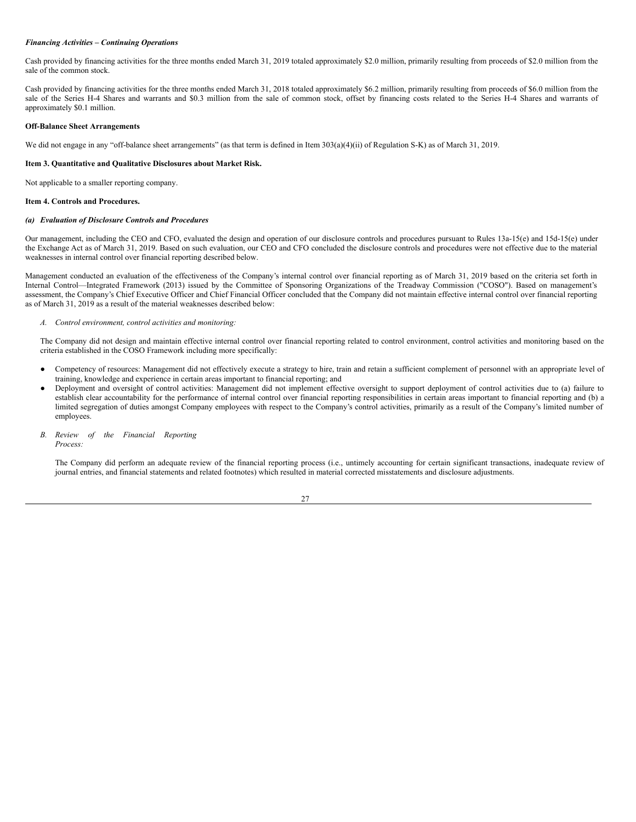#### *Financing Activities – Continuing Operations*

Cash provided by financing activities for the three months ended March 31, 2019 totaled approximately \$2.0 million, primarily resulting from proceeds of \$2.0 million from the sale of the common stock.

Cash provided by financing activities for the three months ended March 31, 2018 totaled approximately \$6.2 million, primarily resulting from proceeds of \$6.0 million from the sale of the Series H-4 Shares and warrants and \$0.3 million from the sale of common stock, offset by financing costs related to the Series H-4 Shares and warrants of approximately \$0.1 million.

### **Off-Balance Sheet Arrangements**

We did not engage in any "off-balance sheet arrangements" (as that term is defined in Item 303(a)(4)(ii) of Regulation S-K) as of March 31, 2019.

### <span id="page-27-0"></span>**Item 3. Quantitative and Qualitative Disclosures about Market Risk.**

Not applicable to a smaller reporting company.

#### <span id="page-27-1"></span>**Item 4. Controls and Procedures.**

#### *(a) Evaluation of Disclosure Controls and Procedures*

Our management, including the CEO and CFO, evaluated the design and operation of our disclosure controls and procedures pursuant to Rules 13a-15(e) and 15d-15(e) under the Exchange Act as of March 31, 2019. Based on such evaluation, our CEO and CFO concluded the disclosure controls and procedures were not effective due to the material weaknesses in internal control over financial reporting described below.

Management conducted an evaluation of the effectiveness of the Company's internal control over financial reporting as of March 31, 2019 based on the criteria set forth in Internal Control—Integrated Framework (2013) issued by the Committee of Sponsoring Organizations of the Treadway Commission ("COSO"). Based on management's assessment, the Company's Chief Executive Officer and Chief Financial Officer concluded that the Company did not maintain effective internal control over financial reporting as of March 31, 2019 as a result of the material weaknesses described below:

*A. Control environment, control activities and monitoring:*

The Company did not design and maintain effective internal control over financial reporting related to control environment, control activities and monitoring based on the criteria established in the COSO Framework including more specifically:

- Competency of resources: Management did not effectively execute a strategy to hire, train and retain a sufficient complement of personnel with an appropriate level of training, knowledge and experience in certain areas important to financial reporting; and
- Deployment and oversight of control activities: Management did not implement effective oversight to support deployment of control activities due to (a) failure to establish clear accountability for the performance of internal control over financial reporting responsibilities in certain areas important to financial reporting and (b) a limited segregation of duties amongst Company employees with respect to the Company's control activities, primarily as a result of the Company's limited number of employees.
- *B. Review of the Financial Reporting Process:*

The Company did perform an adequate review of the financial reporting process (i.e., untimely accounting for certain significant transactions, inadequate review of journal entries, and financial statements and related footnotes) which resulted in material corrected misstatements and disclosure adjustments.

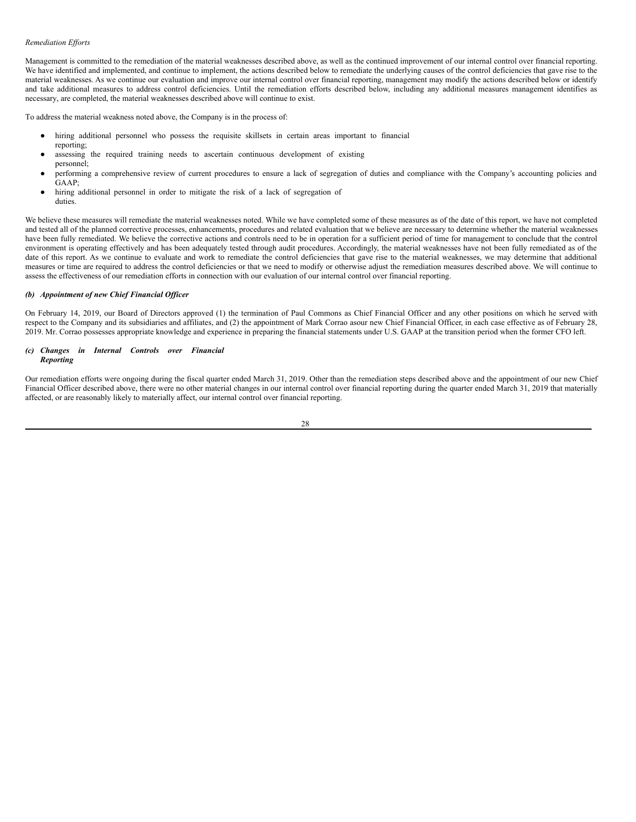#### *Remediation Ef orts*

Management is committed to the remediation of the material weaknesses described above, as well as the continued improvement of our internal control over financial reporting. We have identified and implemented, and continue to implement, the actions described below to remediate the underlying causes of the control deficiencies that gave rise to the material weaknesses. As we continue our evaluation and improve our internal control over financial reporting, management may modify the actions described below or identify and take additional measures to address control deficiencies. Until the remediation efforts described below, including any additional measures management identifies as necessary, are completed, the material weaknesses described above will continue to exist.

To address the material weakness noted above, the Company is in the process of:

- hiring additional personnel who possess the requisite skillsets in certain areas important to financial
- reporting; assessing the required training needs to ascertain continuous development of existing personnel;
- performing a comprehensive review of current procedures to ensure a lack of segregation of duties and compliance with the Company's accounting policies and GAAP;
- hiring additional personnel in order to mitigate the risk of a lack of segregation of duties.

We believe these measures will remediate the material weaknesses noted. While we have completed some of these measures as of the date of this report, we have not completed and tested all of the planned corrective processes, enhancements, procedures and related evaluation that we believe are necessary to determine whether the material weaknesses have been fully remediated. We believe the corrective actions and controls need to be in operation for a sufficient period of time for management to conclude that the control environment is operating effectively and has been adequately tested through audit procedures. Accordingly, the material weaknesses have not been fully remediated as of the date of this report. As we continue to evaluate and work to remediate the control deficiencies that gave rise to the material weaknesses, we may determine that additional measures or time are required to address the control deficiencies or that we need to modify or otherwise adjust the remediation measures described above. We will continue to assess the effectiveness of our remediation efforts in connection with our evaluation of our internal control over financial reporting.

#### *(b) Appointment of new Chief Financial Of icer*

On February 14, 2019, our Board of Directors approved (1) the termination of Paul Commons as Chief Financial Officer and any other positions on which he served with respect to the Company and its subsidiaries and affiliates, and (2) the appointment of Mark Corrao asour new Chief Financial Officer, in each case effective as of February 28, 2019. Mr. Corrao possesses appropriate knowledge and experience in preparing the financial statements under U.S. GAAP at the transition period when the former CFO left.

#### *(c) Changes in Internal Controls over Financial Reporting*

Our remediation efforts were ongoing during the fiscal quarter ended March 31, 2019. Other than the remediation steps described above and the appointment of our new Chief Financial Officer described above, there were no other material changes in our internal control over financial reporting during the quarter ended March 31, 2019 that materially affected, or are reasonably likely to materially affect, our internal control over financial reporting.

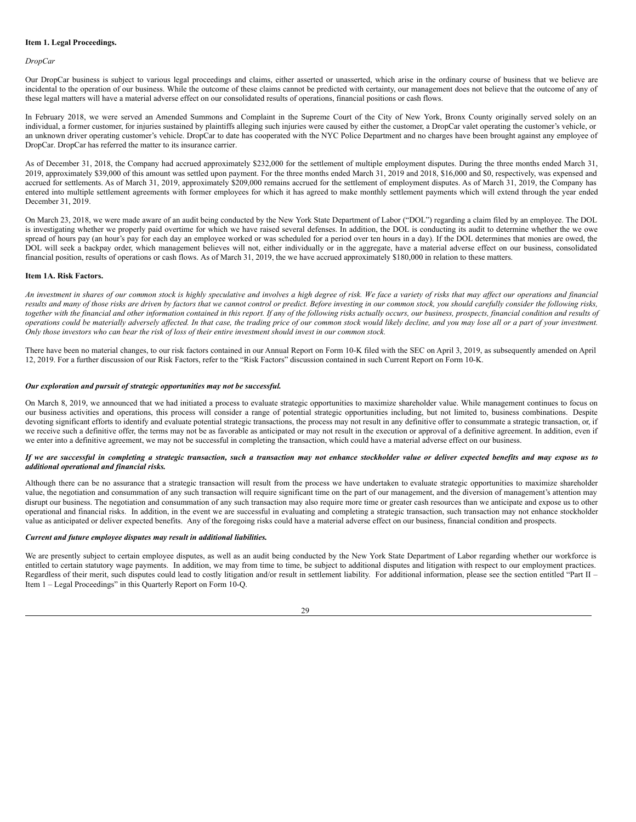#### <span id="page-29-0"></span>**Item 1. Legal Proceedings.**

### *DropCar*

Our DropCar business is subject to various legal proceedings and claims, either asserted or unasserted, which arise in the ordinary course of business that we believe are incidental to the operation of our business. While the outcome of these claims cannot be predicted with certainty, our management does not believe that the outcome of any of these legal matters will have a material adverse effect on our consolidated results of operations, financial positions or cash flows.

In February 2018, we were served an Amended Summons and Complaint in the Supreme Court of the City of New York, Bronx County originally served solely on an individual, a former customer, for injuries sustained by plaintiffs alleging such injuries were caused by either the customer, a DropCar valet operating the customer's vehicle, or an unknown driver operating customer's vehicle. DropCar to date has cooperated with the NYC Police Department and no charges have been brought against any employee of DropCar. DropCar has referred the matter to its insurance carrier.

As of December 31, 2018, the Company had accrued approximately \$232,000 for the settlement of multiple employment disputes. During the three months ended March 31, 2019, approximately \$39,000 of this amount was settled upon payment. For the three months ended March 31, 2019 and 2018, \$16,000 and \$0, respectively, was expensed and accrued for settlements. As of March 31, 2019, approximately \$209,000 remains accrued for the settlement of employment disputes. As of March 31, 2019, the Company has entered into multiple settlement agreements with former employees for which it has agreed to make monthly settlement payments which will extend through the year ended December 31, 2019.

On March 23, 2018, we were made aware of an audit being conducted by the New York State Department of Labor ("DOL") regarding a claim filed by an employee. The DOL is investigating whether we properly paid overtime for which we have raised several defenses. In addition, the DOL is conducting its audit to determine whether the we owe spread of hours pay (an hour's pay for each day an employee worked or was scheduled for a period over ten hours in a day). If the DOL determines that monies are owed, the DOL will seek a backpay order, which management believes will not, either individually or in the aggregate, have a material adverse effect on our business, consolidated financial position, results of operations or cash flows. As of March 31, 2019, the we have accrued approximately \$180,000 in relation to these matters.

#### <span id="page-29-1"></span>**Item 1A. Risk Factors.**

An investment in shares of our common stock is highly speculative and involves a high degree of risk. We face a variety of risks that may affect our operations and financial results and many of those risks are driven by factors that we cannot control or predict. Before investing in our common stock, you should carefully consider the following risks, together with the financial and other information contained in this report. If any of the following risks actually occurs, our business, prospects, financial condition and results of operations could be materially adversely affected. In that case, the trading price of our common stock would likely decline, and you may lose all or a part of your investment. Only those investors who can bear the risk of loss of their entire investment should invest in our common stock.

There have been no material changes, to our risk factors contained in our Annual Report on Form 10-K filed with the SEC on April 3, 2019, as subsequently amended on April 12, 2019. For a further discussion of our Risk Factors, refer to the "Risk Factors" discussion contained in such Current Report on Form 10-K.

### *Our exploration and pursuit of strategic opportunities may not be successful.*

On March 8, 2019, we announced that we had initiated a process to evaluate strategic opportunities to maximize shareholder value. While management continues to focus on our business activities and operations, this process will consider a range of potential strategic opportunities including, but not limited to, business combinations. Despite devoting significant efforts to identify and evaluate potential strategic transactions, the process may not result in any definitive offer to consummate a strategic transaction, or, if we receive such a definitive offer, the terms may not be as favorable as anticipated or may not result in the execution or approval of a definitive agreement. In addition, even if we enter into a definitive agreement, we may not be successful in completing the transaction, which could have a material adverse effect on our business.

### If we are successful in completing a strategic transaction, such a transaction may not enhance stockholder value or deliver expected benefits and may expose us to *additional operational and financial risks.*

Although there can be no assurance that a strategic transaction will result from the process we have undertaken to evaluate strategic opportunities to maximize shareholder value, the negotiation and consummation of any such transaction will require significant time on the part of our management, and the diversion of management's attention may disrupt our business. The negotiation and consummation of any such transaction may also require more time or greater cash resources than we anticipate and expose us to other operational and financial risks. In addition, in the event we are successful in evaluating and completing a strategic transaction, such transaction may not enhance stockholder value as anticipated or deliver expected benefits. Any of the foregoing risks could have a material adverse effect on our business, financial condition and prospects.

### *Current and future employee disputes may result in additional liabilities.*

We are presently subject to certain employee disputes, as well as an audit being conducted by the New York State Department of Labor regarding whether our workforce is entitled to certain statutory wage payments. In addition, we may from time to time, be subject to additional disputes and litigation with respect to our employment practices. Regardless of their merit, such disputes could lead to costly litigation and/or result in settlement liability. For additional information, please see the section entitled "Part II – Item 1 – Legal Proceedings" in this Quarterly Report on Form 10-Q.

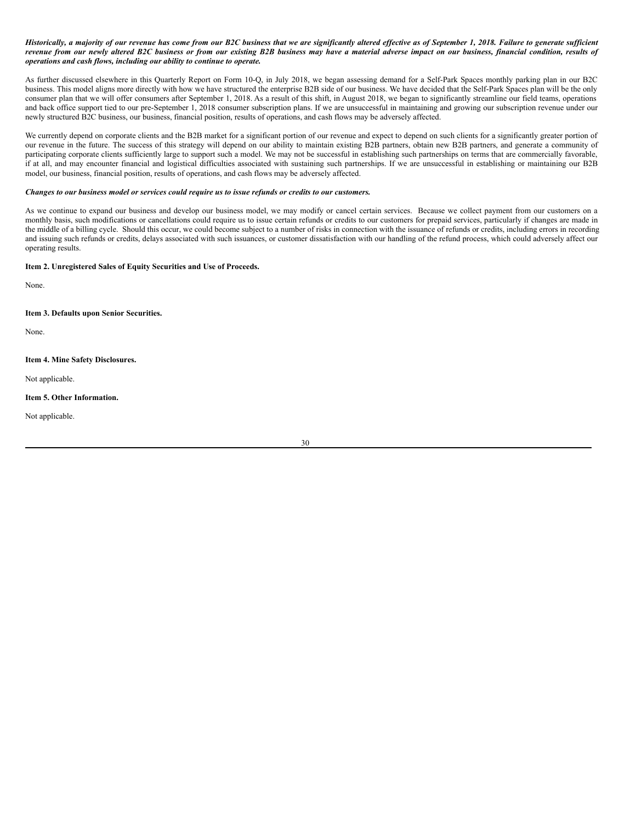Historically, a majority of our revenue has come from our B2C business that we are significantly altered effective as of September 1, 2018. Failure to generate sufficient revenue from our newly altered B2C business or from our existing B2B business may have a material adverse impact on our business, financial condition, results of *operations and cash flows, including our ability to continue to operate.*

As further discussed elsewhere in this Quarterly Report on Form 10-Q, in July 2018, we began assessing demand for a Self-Park Spaces monthly parking plan in our B2C business. This model aligns more directly with how we have structured the enterprise B2B side of our business. We have decided that the Self-Park Spaces plan will be the only consumer plan that we will offer consumers after September 1, 2018. As a result of this shift, in August 2018, we began to significantly streamline our field teams, operations and back office support tied to our pre-September 1, 2018 consumer subscription plans. If we are unsuccessful in maintaining and growing our subscription revenue under our newly structured B2C business, our business, financial position, results of operations, and cash flows may be adversely affected.

We currently depend on corporate clients and the B2B market for a significant portion of our revenue and expect to depend on such clients for a significantly greater portion of our revenue in the future. The success of this strategy will depend on our ability to maintain existing B2B partners, obtain new B2B partners, and generate a community of participating corporate clients sufficiently large to support such a model. We may not be successful in establishing such partnerships on terms that are commercially favorable, if at all, and may encounter financial and logistical difficulties associated with sustaining such partnerships. If we are unsuccessful in establishing or maintaining our B2B model, our business, financial position, results of operations, and cash flows may be adversely affected.

#### Changes to our business model or services could require us to issue refunds or credits to our customers.

As we continue to expand our business and develop our business model, we may modify or cancel certain services. Because we collect payment from our customers on a monthly basis, such modifications or cancellations could require us to issue certain refunds or credits to our customers for prepaid services, particularly if changes are made in the middle of a billing cycle. Should this occur, we could become subject to a number of risks in connection with the issuance of refunds or credits, including errors in recording and issuing such refunds or credits, delays associated with such issuances, or customer dissatisfaction with our handling of the refund process, which could adversely affect our operating results.

### <span id="page-30-0"></span>**Item 2. Unregistered Sales of Equity Securities and Use of Proceeds.**

None.

<span id="page-30-1"></span>**Item 3. Defaults upon Senior Securities.**

None.

<span id="page-30-2"></span>**Item 4. Mine Safety Disclosures.**

Not applicable.

#### <span id="page-30-3"></span>**Item 5. Other Information.**

Not applicable.

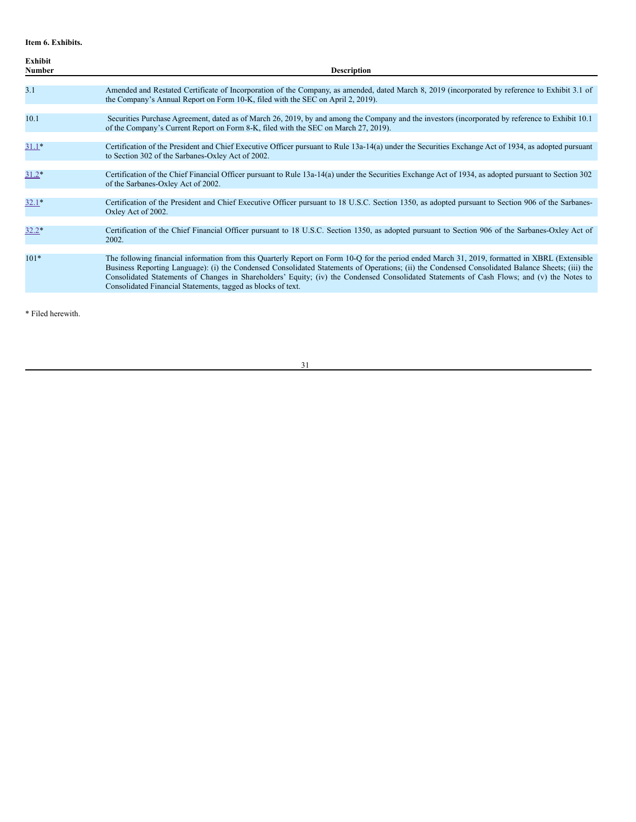<span id="page-31-0"></span>**Item 6. Exhibits.**

| Exhibit<br>Number | <b>Description</b>                                                                                                                                                                                                                                                                                                                                                                                                                                                                                               |
|-------------------|------------------------------------------------------------------------------------------------------------------------------------------------------------------------------------------------------------------------------------------------------------------------------------------------------------------------------------------------------------------------------------------------------------------------------------------------------------------------------------------------------------------|
| 3.1               | Amended and Restated Certificate of Incorporation of the Company, as amended, dated March 8, 2019 (incorporated by reference to Exhibit 3.1 of<br>the Company's Annual Report on Form 10-K, filed with the SEC on April 2, 2019).                                                                                                                                                                                                                                                                                |
| 10.1              | Securities Purchase Agreement, dated as of March 26, 2019, by and among the Company and the investors (incorporated by reference to Exhibit 10.1)<br>of the Company's Current Report on Form 8-K, filed with the SEC on March 27, 2019).                                                                                                                                                                                                                                                                         |
| $31.1*$           | Certification of the President and Chief Executive Officer pursuant to Rule 13a-14(a) under the Securities Exchange Act of 1934, as adopted pursuant<br>to Section 302 of the Sarbanes-Oxley Act of 2002.                                                                                                                                                                                                                                                                                                        |
| $31.2*$           | Certification of the Chief Financial Officer pursuant to Rule 13a-14(a) under the Securities Exchange Act of 1934, as adopted pursuant to Section 302<br>of the Sarbanes-Oxley Act of 2002.                                                                                                                                                                                                                                                                                                                      |
| $32.1*$           | Certification of the President and Chief Executive Officer pursuant to 18 U.S.C. Section 1350, as adopted pursuant to Section 906 of the Sarbanes-<br>Oxley Act of 2002.                                                                                                                                                                                                                                                                                                                                         |
| $32.2*$           | Certification of the Chief Financial Officer pursuant to 18 U.S.C. Section 1350, as adopted pursuant to Section 906 of the Sarbanes-Oxley Act of<br>2002.                                                                                                                                                                                                                                                                                                                                                        |
| $101*$            | The following financial information from this Quarterly Report on Form 10-Q for the period ended March 31, 2019, formatted in XBRL (Extensible<br>Business Reporting Language): (i) the Condensed Consolidated Statements of Operations; (ii) the Condensed Consolidated Balance Sheets; (iii) the<br>Consolidated Statements of Changes in Shareholders' Equity; (iv) the Condensed Consolidated Statements of Cash Flows; and (v) the Notes to<br>Consolidated Financial Statements, tagged as blocks of text. |

\* Filed herewith.

31

<u> 1980 - Johann Barn, mars ann an t-Amhain Aonaich an t-Aonaich an t-Aonaich ann an t-Aonaich ann an t-Aonaich</u>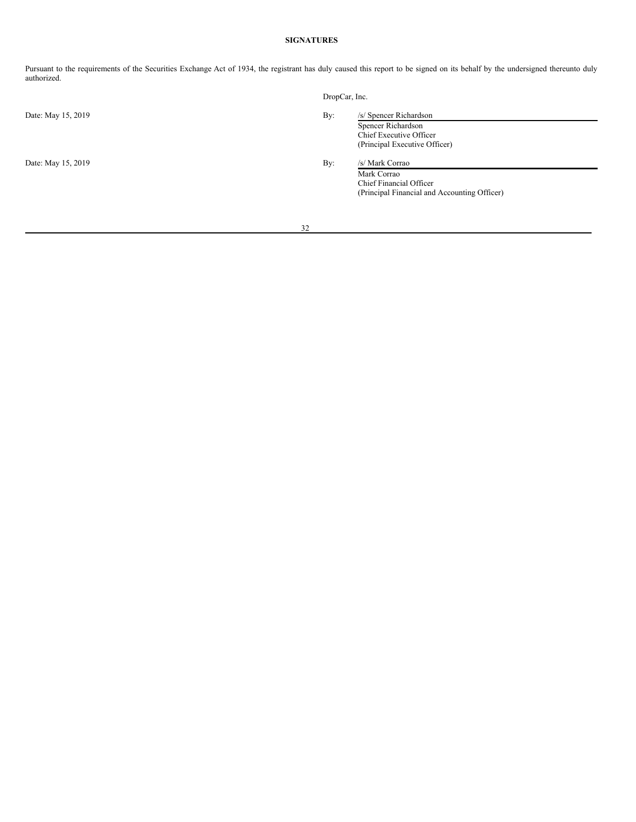# **SIGNATURES**

Pursuant to the requirements of the Securities Exchange Act of 1934, the registrant has duly caused this report to be signed on its behalf by the undersigned thereunto duly authorized.

|                    | DropCar, Inc.                                                                                                    |
|--------------------|------------------------------------------------------------------------------------------------------------------|
| Date: May 15, 2019 | /s/ Spencer Richardson<br>By:<br>Spencer Richardson<br>Chief Executive Officer<br>(Principal Executive Officer)  |
| Date: May 15, 2019 | By:<br>/s/ Mark Corrao<br>Mark Corrao<br>Chief Financial Officer<br>(Principal Financial and Accounting Officer) |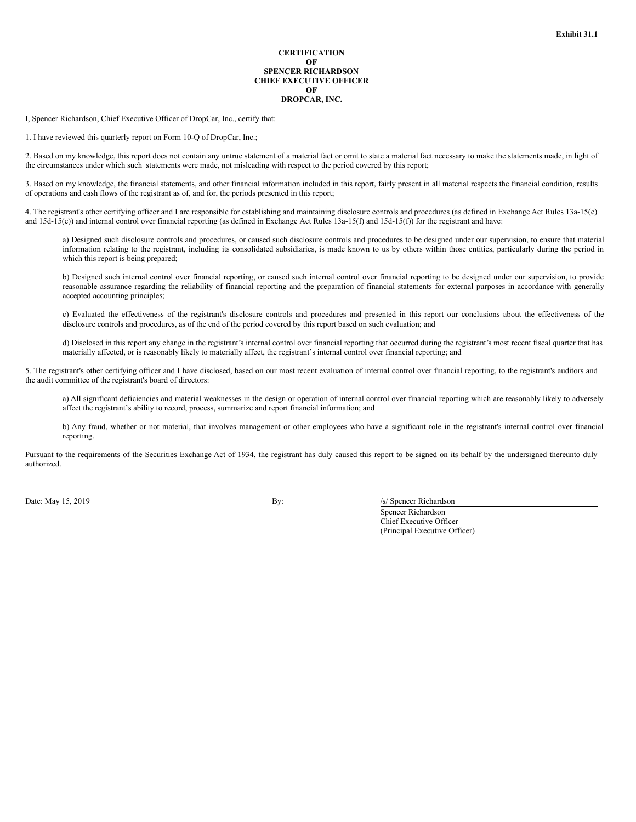### **CERTIFICATION OF SPENCER RICHARDSON CHIEF EXECUTIVE OFFICER OF DROPCAR, INC.**

<span id="page-33-0"></span>I, Spencer Richardson, Chief Executive Officer of DropCar, Inc., certify that:

1. I have reviewed this quarterly report on Form 10-Q of DropCar, Inc.;

2. Based on my knowledge, this report does not contain any untrue statement of a material fact or omit to state a material fact necessary to make the statements made, in light of the circumstances under which such statements were made, not misleading with respect to the period covered by this report;

3. Based on my knowledge, the financial statements, and other financial information included in this report, fairly present in all material respects the financial condition, results of operations and cash flows of the registrant as of, and for, the periods presented in this report;

4. The registrant's other certifying officer and I are responsible for establishing and maintaining disclosure controls and procedures (as defined in Exchange Act Rules 13a-15(e) and 15d-15(e)) and internal control over financial reporting (as defined in Exchange Act Rules 13a-15(f) and 15d-15(f)) for the registrant and have:

a) Designed such disclosure controls and procedures, or caused such disclosure controls and procedures to be designed under our supervision, to ensure that material information relating to the registrant, including its consolidated subsidiaries, is made known to us by others within those entities, particularly during the period in which this report is being prepared;

b) Designed such internal control over financial reporting, or caused such internal control over financial reporting to be designed under our supervision, to provide reasonable assurance regarding the reliability of financial reporting and the preparation of financial statements for external purposes in accordance with generally accepted accounting principles;

c) Evaluated the effectiveness of the registrant's disclosure controls and procedures and presented in this report our conclusions about the effectiveness of the disclosure controls and procedures, as of the end of the period covered by this report based on such evaluation; and

d) Disclosed in this report any change in the registrant's internal control over financial reporting that occurred during the registrant's most recent fiscal quarter that has materially affected, or is reasonably likely to materially affect, the registrant's internal control over financial reporting; and

5. The registrant's other certifying officer and I have disclosed, based on our most recent evaluation of internal control over financial reporting, to the registrant's auditors and the audit committee of the registrant's board of directors:

a) All significant deficiencies and material weaknesses in the design or operation of internal control over financial reporting which are reasonably likely to adversely affect the registrant's ability to record, process, summarize and report financial information; and

b) Any fraud, whether or not material, that involves management or other employees who have a significant role in the registrant's internal control over financial reporting.

Pursuant to the requirements of the Securities Exchange Act of 1934, the registrant has duly caused this report to be signed on its behalf by the undersigned thereunto duly authorized.

Date: May 15, 2019 **By:** By: *Islamic By: By: Islamic By: Islamic By: Islamic By: Islamic By: Islamic By: Islamic By: Islamic By: Islamic By: Islamic By: Islamic By: Islamic By: Islamic By: Isla* 

Spencer Richardson Chief Executive Officer (Principal Executive Officer)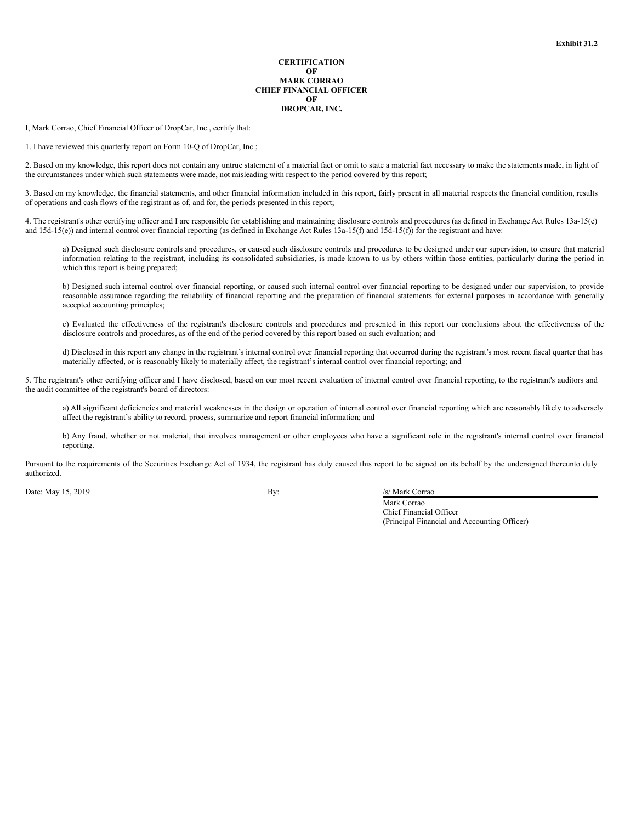#### **CERTIFICATION OF MARK CORRAO CHIEF FINANCIAL OFFICER OF DROPCAR, INC.**

<span id="page-34-0"></span>I, Mark Corrao, Chief Financial Officer of DropCar, Inc., certify that:

1. I have reviewed this quarterly report on Form 10-Q of DropCar, Inc.;

2. Based on my knowledge, this report does not contain any untrue statement of a material fact or omit to state a material fact necessary to make the statements made, in light of the circumstances under which such statements were made, not misleading with respect to the period covered by this report;

3. Based on my knowledge, the financial statements, and other financial information included in this report, fairly present in all material respects the financial condition, results of operations and cash flows of the registrant as of, and for, the periods presented in this report;

4. The registrant's other certifying officer and I are responsible for establishing and maintaining disclosure controls and procedures (as defined in Exchange Act Rules 13a-15(e) and 15d-15(e)) and internal control over financial reporting (as defined in Exchange Act Rules 13a-15(f) and 15d-15(f)) for the registrant and have:

a) Designed such disclosure controls and procedures, or caused such disclosure controls and procedures to be designed under our supervision, to ensure that material information relating to the registrant, including its consolidated subsidiaries, is made known to us by others within those entities, particularly during the period in which this report is being prepared;

b) Designed such internal control over financial reporting, or caused such internal control over financial reporting to be designed under our supervision, to provide reasonable assurance regarding the reliability of financial reporting and the preparation of financial statements for external purposes in accordance with generally accepted accounting principles;

c) Evaluated the effectiveness of the registrant's disclosure controls and procedures and presented in this report our conclusions about the effectiveness of the disclosure controls and procedures, as of the end of the period covered by this report based on such evaluation; and

d) Disclosed in this report any change in the registrant's internal control over financial reporting that occurred during the registrant's most recent fiscal quarter that has materially affected, or is reasonably likely to materially affect, the registrant's internal control over financial reporting; and

5. The registrant's other certifying officer and I have disclosed, based on our most recent evaluation of internal control over financial reporting, to the registrant's auditors and the audit committee of the registrant's board of directors:

a) All significant deficiencies and material weaknesses in the design or operation of internal control over financial reporting which are reasonably likely to adversely affect the registrant's ability to record, process, summarize and report financial information; and

b) Any fraud, whether or not material, that involves management or other employees who have a significant role in the registrant's internal control over financial reporting.

Pursuant to the requirements of the Securities Exchange Act of 1934, the registrant has duly caused this report to be signed on its behalf by the undersigned thereunto duly authorized.

Date: May 15, 2019 **By:** /s/ Mark Corrao

Mark Corrao Chief Financial Officer (Principal Financial and Accounting Officer)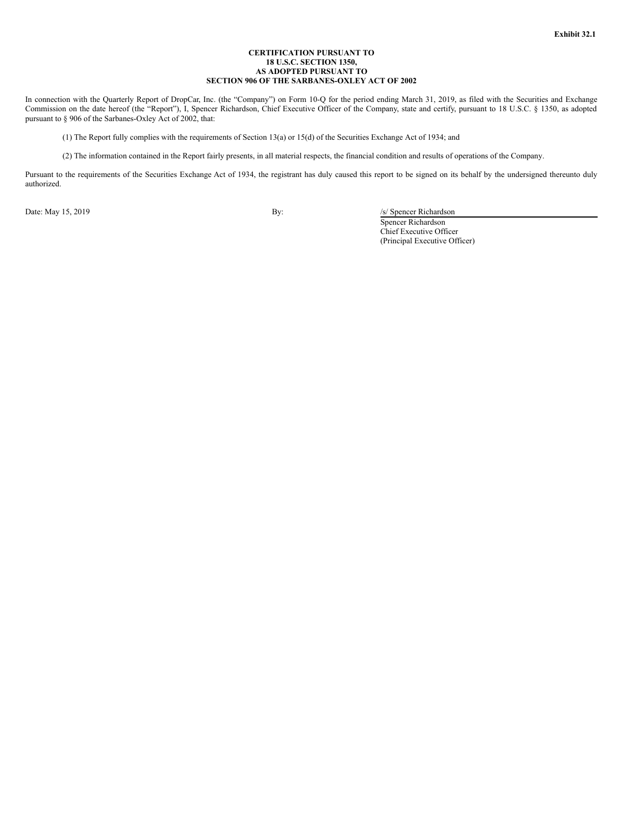### **CERTIFICATION PURSUANT TO 18 U.S.C. SECTION 1350, AS ADOPTED PURSUANT TO SECTION 906 OF THE SARBANES-OXLEY ACT OF 2002**

<span id="page-35-0"></span>In connection with the Quarterly Report of DropCar, Inc. (the "Company") on Form 10-Q for the period ending March 31, 2019, as filed with the Securities and Exchange Commission on the date hereof (the "Report"), I, Spencer Richardson, Chief Executive Officer of the Company, state and certify, pursuant to 18 U.S.C. § 1350, as adopted pursuant to § 906 of the Sarbanes-Oxley Act of 2002, that:

(1) The Report fully complies with the requirements of Section 13(a) or 15(d) of the Securities Exchange Act of 1934; and

(2) The information contained in the Report fairly presents, in all material respects, the financial condition and results of operations of the Company.

Pursuant to the requirements of the Securities Exchange Act of 1934, the registrant has duly caused this report to be signed on its behalf by the undersigned thereunto duly authorized.

Date: May 15, 2019 By: /s/ Spencer Richardson

Spencer Richardson Chief Executive Officer (Principal Executive Officer)